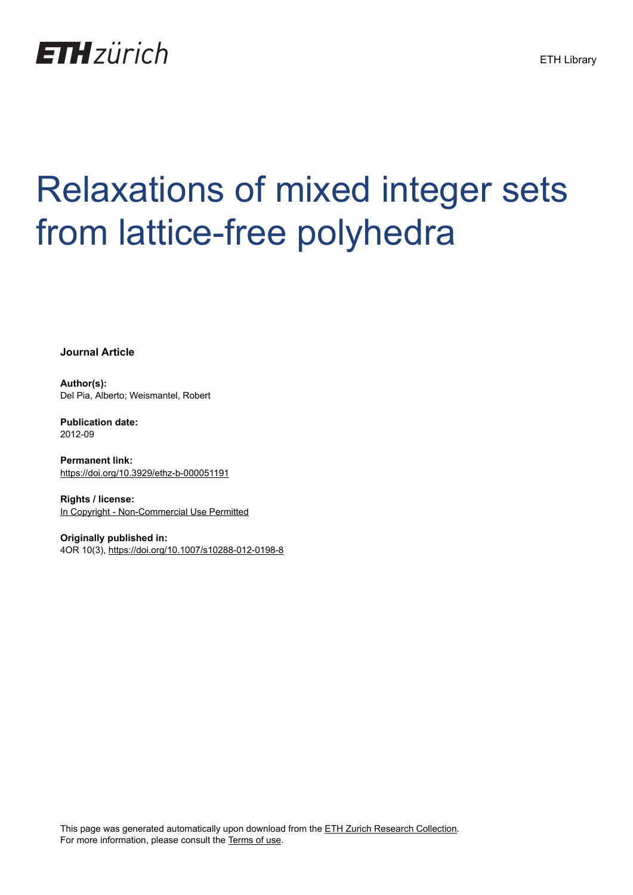

# Relaxations of mixed integer sets from lattice-free polyhedra

**Journal Article**

**Author(s):** Del Pia, Alberto; Weismantel, Robert

**Publication date:** 2012-09

**Permanent link:** <https://doi.org/10.3929/ethz-b-000051191>

**Rights / license:** [In Copyright - Non-Commercial Use Permitted](http://rightsstatements.org/page/InC-NC/1.0/)

**Originally published in:** 4OR 10(3),<https://doi.org/10.1007/s10288-012-0198-8>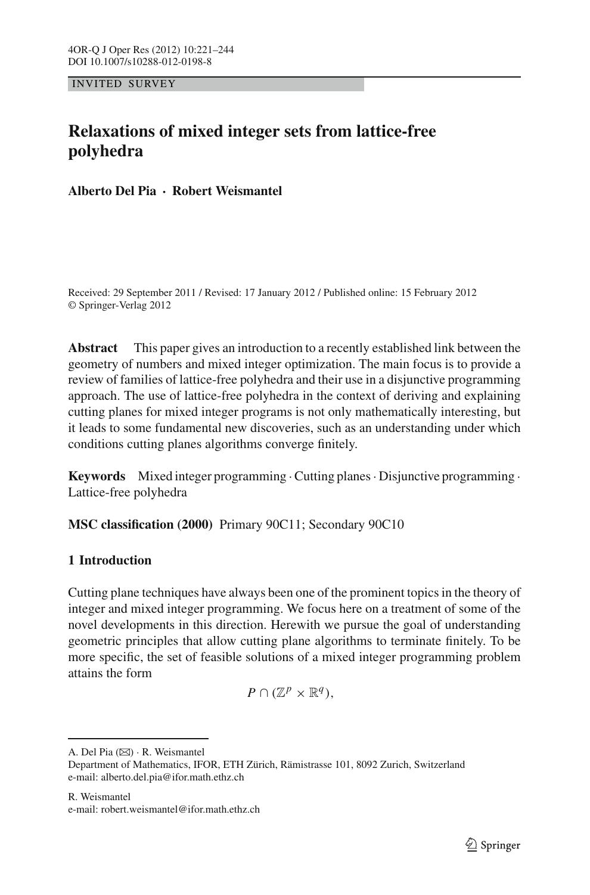INVITED SURVEY

# **Relaxations of mixed integer sets from lattice-free polyhedra**

**Alberto Del Pia · Robert Weismantel**

Received: 29 September 2011 / Revised: 17 January 2012 / Published online: 15 February 2012 © Springer-Verlag 2012

**Abstract** This paper gives an introduction to a recently established link between the geometry of numbers and mixed integer optimization. The main focus is to provide a review of families of lattice-free polyhedra and their use in a disjunctive programming approach. The use of lattice-free polyhedra in the context of deriving and explaining cutting planes for mixed integer programs is not only mathematically interesting, but it leads to some fundamental new discoveries, such as an understanding under which conditions cutting planes algorithms converge finitely.

**Keywords** Mixed integer programming ·Cutting planes· Disjunctive programming · Lattice-free polyhedra

**MSC classification (2000)** Primary 90C11; Secondary 90C10

# <span id="page-1-0"></span>**1 Introduction**

Cutting plane techniques have always been one of the prominent topics in the theory of integer and mixed integer programming. We focus here on a treatment of some of the novel developments in this direction. Herewith we pursue the goal of understanding geometric principles that allow cutting plane algorithms to terminate finitely. To be more specific, the set of feasible solutions of a mixed integer programming problem attains the form

$$
P\cap(\mathbb{Z}^p\times\mathbb{R}^q),
$$

A. Del Pia  $(\boxtimes) \cdot R$ . Weismantel Department of Mathematics, IFOR, ETH Zürich, Rämistrasse 101, 8092 Zurich, Switzerland e-mail: alberto.del.pia@ifor.math.ethz.ch

R. Weismantel e-mail: robert.weismantel@ifor.math.ethz.ch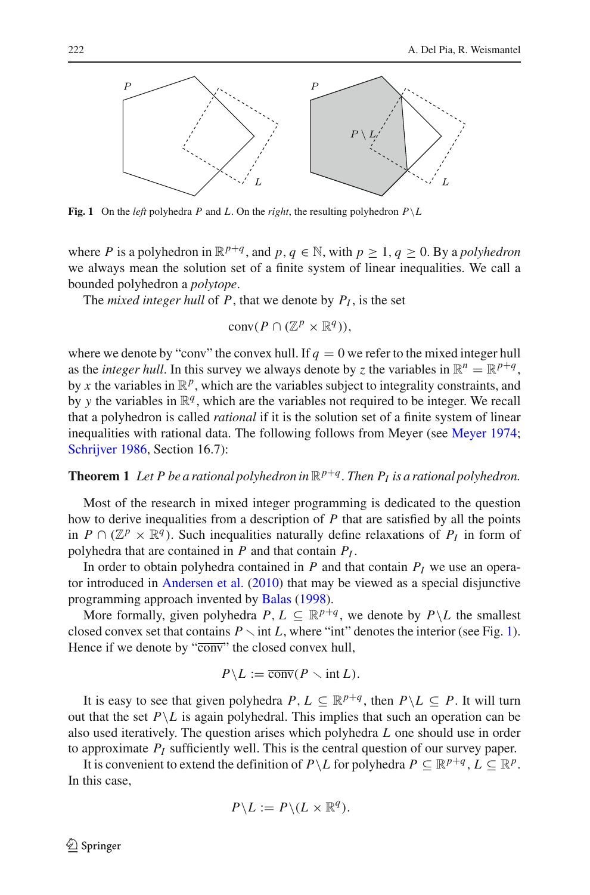

<span id="page-2-0"></span>**Fig. 1** On the *left* polyhedra *P* and *L*. On the *right*, the resulting polyhedron  $P \setminus L$ 

where *P* is a polyhedron in  $\mathbb{R}^{p+q}$ , and  $p, q \in \mathbb{N}$ , with  $p \geq 1, q \geq 0$ . By a *polyhedron* we always mean the solution set of a finite system of linear inequalities. We call a bounded polyhedron a *polytope*.

The *mixed integer hull* of  $P$ , that we denote by  $P<sub>I</sub>$ , is the set

$$
conv(P \cap (\mathbb{Z}^p \times \mathbb{R}^q)),
$$

where we denote by "conv" the convex hull. If  $q = 0$  we refer to the mixed integer hull as the *integer hull*. In this survey we always denote by *z* the variables in  $\mathbb{R}^n = \mathbb{R}^{p+q}$ , by x the variables in  $\mathbb{R}^p$ , which are the variables subject to integrality constraints, and by *y* the variables in  $\mathbb{R}^q$ , which are the variables not required to be integer. We recall that a polyhedron is called *rational* if it is the solution set of a finite system of linear inequalities with rational data. The following follows from Meyer (see [Meyer 1974](#page-24-0); [Schrijver 1986,](#page-24-1) Section 16.7):

#### <span id="page-2-1"></span>**Theorem 1** Let P be a rational polyhedron in  $\mathbb{R}^{p+q}$ . Then  $P_I$  is a rational polyhedron.

Most of the research in mixed integer programming is dedicated to the question how to derive inequalities from a description of *P* that are satisfied by all the points in *P* ∩ ( $\mathbb{Z}^p \times \mathbb{R}^q$ ). Such inequalities naturally define relaxations of *P<sub>I</sub>* in form of polyhedra that are contained in *P* and that contain *PI* .

In order to obtain polyhedra contained in  $P$  and that contain  $P_I$  we use an operator introduced in [Andersen et al.](#page-22-0) [\(2010\)](#page-22-0) that may be viewed as a special disjunctive programming approach invented by [Balas](#page-23-0) [\(1998](#page-23-0)).

More formally, given polyhedra  $P, L \subseteq \mathbb{R}^{p+q}$ , we denote by  $P \setminus L$  the smallest closed convex set that contains  $P \setminus \text{int } L$ , where "int" denotes the interior (see Fig. [1\)](#page-2-0). Hence if we denote by "conv" the closed convex hull,

$$
P \backslash L := \overline{\text{conv}}(P \setminus \text{int } L).
$$

It is easy to see that given polyhedra  $P, L \subseteq \mathbb{R}^{p+q}$ , then  $P \setminus L \subseteq P$ . It will turn out that the set  $P \setminus L$  is again polyhedral. This implies that such an operation can be also used iteratively. The question arises which polyhedra *L* one should use in order to approximate *PI* sufficiently well. This is the central question of our survey paper.

It is convenient to extend the definition of  $P \setminus L$  for polyhedra  $P \subseteq \mathbb{R}^{p+q}$ ,  $L \subseteq \mathbb{R}^p$ . In this case,

$$
P \backslash L := P \backslash (L \times \mathbb{R}^q).
$$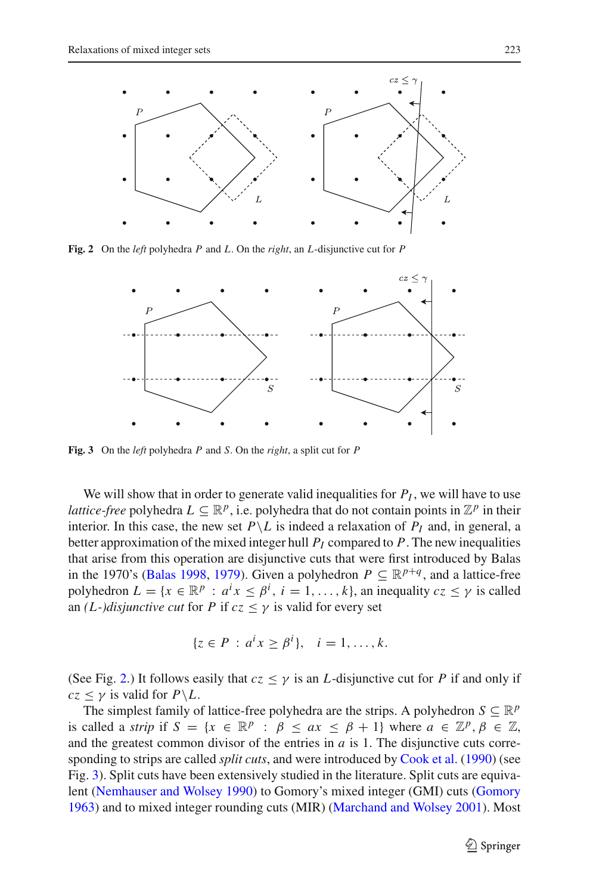

<span id="page-3-0"></span>**Fig. 2** On the *left* polyhedra *P* and *L*. On the *right*, an *L*-disjunctive cut for *P*



<span id="page-3-1"></span>**Fig. 3** On the *left* polyhedra *P* and *S*. On the *right*, a split cut for *P*

We will show that in order to generate valid inequalities for  $P_I$ , we will have to use *lattice-free* polyhedra  $L \subseteq \mathbb{R}^p$ , i.e. polyhedra that do not contain points in  $\mathbb{Z}^p$  in their interior. In this case, the new set  $P\setminus L$  is indeed a relaxation of  $P_I$  and, in general, a better approximation of the mixed integer hull  $P_I$  compared to  $P$ . The new inequalities that arise from this operation are disjunctive cuts that were first introduced by Balas in the 1970's [\(Balas 1998,](#page-23-0) [1979](#page-23-1)). Given a polyhedron  $P \subseteq \mathbb{R}^{p+q}$ , and a lattice-free polyhedron  $L = \{x \in \mathbb{R}^p : a^i x \leq \beta^i, i = 1, ..., k\}$ , an inequality  $cz \leq \gamma$  is called an *(L-)disjunctive cut* for *P* if  $cz < \gamma$  is valid for every set

$$
\{z \in P : a^i x \ge \beta^i\}, \quad i = 1, \dots, k.
$$

(See Fig. [2.](#page-3-0)) It follows easily that  $cz \leq \gamma$  is an *L*-disjunctive cut for *P* if and only if  $cz \leq \gamma$  is valid for  $P \backslash L$ .

The simplest family of lattice-free polyhedra are the strips. A polyhedron  $S \subseteq \mathbb{R}^p$ is called a *strip* if  $S = \{x \in \mathbb{R}^p : \beta \le ax \le \beta + 1\}$  where  $a \in \mathbb{Z}^p, \beta \in \mathbb{Z}$ , and the greatest common divisor of the entries in *a* is 1. The disjunctive cuts corresponding to strips are called *split cuts*, and were introduced by [Cook et al.](#page-23-2) [\(1990\)](#page-23-2) (see Fig. [3\)](#page-3-1). Split cuts have been extensively studied in the literature. Split cuts are equivalent [\(Nemhauser and Wolsey 1990](#page-24-2)) to Gomory's mixed integer (GMI) cuts [\(Gomory](#page-24-3) [1963\)](#page-24-3) and to mixed integer rounding cuts (MIR) [\(Marchand and Wolsey 2001](#page-24-4)). Most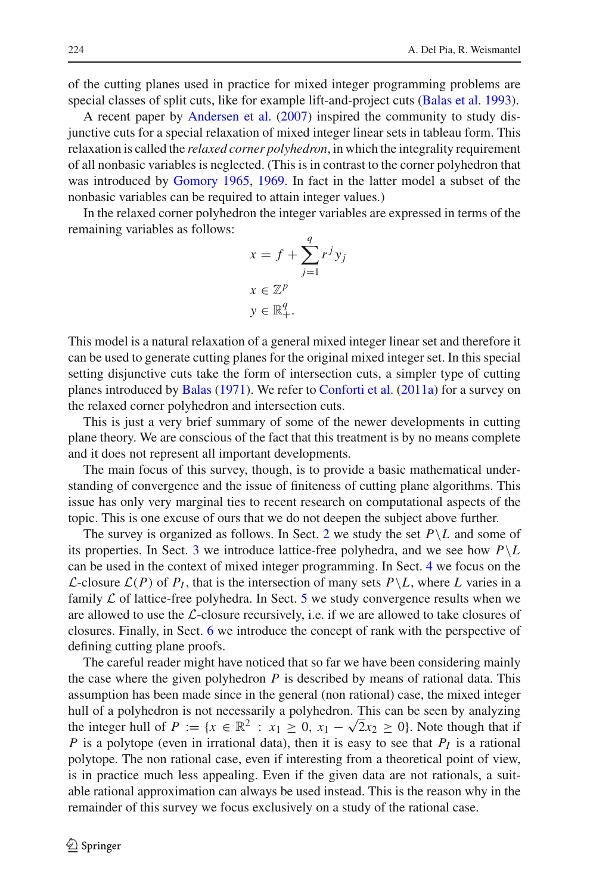of the cutting planes used in practice for mixed integer programming problems are special classes of split cuts, like for example lift-and-project cuts [\(Balas et al. 1993](#page-23-3)).

A recent paper by [Andersen et al.](#page-22-1) [\(2007](#page-22-1)) inspired the community to study disjunctive cuts for a special relaxation of mixed integer linear sets in tableau form. This relaxation is called the *relaxed corner polyhedron*, in which the integrality requirement of all nonbasic variables is neglected. (This is in contrast to the corner polyhedron that was introduced by [Gomory 1965,](#page-24-5) [1969.](#page-24-6) In fact in the latter model a subset of the nonbasic variables can be required to attain integer values.)

In the relaxed corner polyhedron the integer variables are expressed in terms of the remaining variables as follows:

$$
x = f + \sum_{j=1}^{q} r^{j} y_{j}
$$

$$
x \in \mathbb{Z}^{p}
$$

$$
y \in \mathbb{R}_{+}^{q}.
$$

This model is a natural relaxation of a general mixed integer linear set and therefore it can be used to generate cutting planes for the original mixed integer set. In this special setting disjunctive cuts take the form of intersection cuts, a simpler type of cutting planes introduced by [Balas](#page-23-4) [\(1971](#page-23-4)). We refer to [Conforti et al.](#page-23-5) [\(2011a](#page-23-5)) for a survey on the relaxed corner polyhedron and intersection cuts.

This is just a very brief summary of some of the newer developments in cutting plane theory. We are conscious of the fact that this treatment is by no means complete and it does not represent all important developments.

The main focus of this survey, though, is to provide a basic mathematical understanding of convergence and the issue of finiteness of cutting plane algorithms. This issue has only very marginal ties to recent research on computational aspects of the topic. This is one excuse of ours that we do not deepen the subject above further.

The survey is organized as follows. In Sect. [2](#page-5-0) we study the set  $P\setminus L$  and some of its properties. In Sect. [3](#page-9-0) we introduce lattice-free polyhedra, and we see how  $P\backslash L$ can be used in the context of mixed integer programming. In Sect. [4](#page-13-0) we focus on the *L*-closure  $\mathcal{L}(P)$  of  $P_I$ , that is the intersection of many sets  $P\backslash L$ , where *L* varies in a family  $\mathcal L$  of lattice-free polyhedra. In Sect. [5](#page-16-0) we study convergence results when we are allowed to use the *L*-closure recursively, i.e. if we are allowed to take closures of closures. Finally, in Sect. [6](#page-19-0) we introduce the concept of rank with the perspective of defining cutting plane proofs.

The careful reader might have noticed that so far we have been considering mainly the case where the given polyhedron *P* is described by means of rational data. This assumption has been made since in the general (non rational) case, the mixed integer hull of a polyhedron is not necessarily a polyhedron. This can be seen by analyzing the integer hull of  $P := \{x \in \mathbb{R}^2 : x_1 \geq 0, x_1 - \sqrt{2}x_2 \geq 0\}$ . Note though that if *P* is a polytope (even in irrational data), then it is easy to see that  $P_I$  is a rational polytope. The non rational case, even if interesting from a theoretical point of view, is in practice much less appealing. Even if the given data are not rationals, a suitable rational approximation can always be used instead. This is the reason why in the remainder of this survey we focus exclusively on a study of the rational case.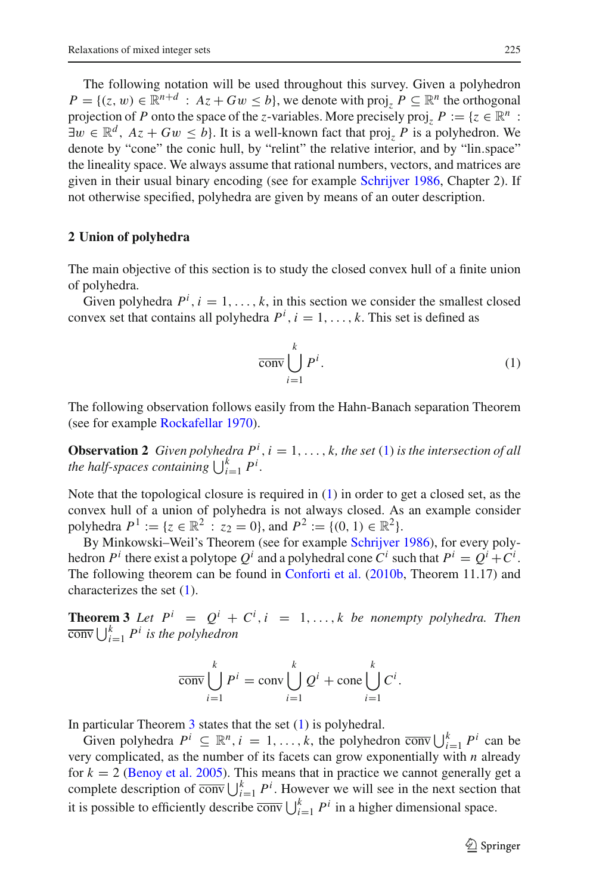The following notation will be used throughout this survey. Given a polyhedron  $P = \{(z, w) \in \mathbb{R}^{n+d} : Az + Gw \leq b\}$ , we denote with proj<sub>z</sub>  $P \subseteq \mathbb{R}^n$  the orthogonal projection of *P* onto the space of the *z*-variables. More precisely proj,  $P := \{z \in \mathbb{R}^n : z \in \mathbb{R}^n : z \in \mathbb{R}^n \}$  $\exists w \in \mathbb{R}^d$ ,  $Az + Gw \leq b$ . It is a well-known fact that proj<sub>z</sub> P is a polyhedron. We denote by "cone" the conic hull, by "relint" the relative interior, and by "lin.space" the lineality space. We always assume that rational numbers, vectors, and matrices are given in their usual binary encoding (see for example [Schrijver 1986,](#page-24-1) Chapter 2). If not otherwise specified, polyhedra are given by means of an outer description.

#### <span id="page-5-0"></span>**2 Union of polyhedra**

The main objective of this section is to study the closed convex hull of a finite union of polyhedra.

Given polyhedra  $P^i$ ,  $i = 1, ..., k$ , in this section we consider the smallest closed convex set that contains all polyhedra  $P^i$ ,  $i = 1, \ldots, k$ . This set is defined as

<span id="page-5-1"></span>
$$
\overline{\text{conv}} \bigcup_{i=1}^{k} P^{i}.
$$
 (1)

The following observation follows easily from the Hahn-Banach separation Theorem (see for example [Rockafellar 1970](#page-24-7)).

**Observation 2** *Given polyhedra*  $P^i$ ,  $i = 1, ..., k$ , the set [\(1\)](#page-5-1) *is the intersection of all the half-spaces containing*  $\bigcup_{i=1}^{k} P^i$ .

Note that the topological closure is required in [\(1\)](#page-5-1) in order to get a closed set, as the convex hull of a union of polyhedra is not always closed. As an example consider polyhedra  $P^1 := \{z \in \mathbb{R}^2 : z_2 = 0\}$ , and  $P^2 := \{(0, 1) \in \mathbb{R}^2\}$ .

By Minkowski–Weil's Theorem (see for example [Schrijver 1986](#page-24-1)), for every polyhedron  $P^i$  there exist a polytope  $Q^i$  and a polyhedral cone  $C^i$  such that  $P^i = Q^i + C^i$ . The following theorem can be found in [Conforti et al.](#page-23-6) [\(2010b](#page-23-6), Theorem 11.17) and characterizes the set [\(1\)](#page-5-1).

<span id="page-5-2"></span>**Theorem 3** *Let*  $P^i = Q^i + C^i$ ,  $i = 1, ..., k$  *be nonempty polyhedra. Then*  $\overline{\text{conv}}\bigcup_{i=1}^k P^i$  *is the polyhedron* 

$$
\overline{\text{conv}}\bigcup_{i=1}^k P^i = \text{conv}\bigcup_{i=1}^k Q^i + \text{cone}\bigcup_{i=1}^k C^i.
$$

In particular Theorem [3](#page-5-2) states that the set [\(1\)](#page-5-1) is polyhedral.

Given polyhedra  $P^i \subseteq \mathbb{R}^n$ ,  $i = 1, ..., k$ , the polyhedron  $\overline{conv} \bigcup_{i=1}^k P^i$  can be very complicated, as the number of its facets can grow exponentially with *n* already for  $k = 2$  [\(Benoy et al. 2005\)](#page-23-7). This means that in practice we cannot generally get a complete description of  $\overline{\text{conv}}\bigcup_{i=1}^{k} P^i$ . However we will see in the next section that it is possible to efficiently describe  $\overline{\text{conv}} \bigcup_{i=1}^{k} P^i$  in a higher dimensional space.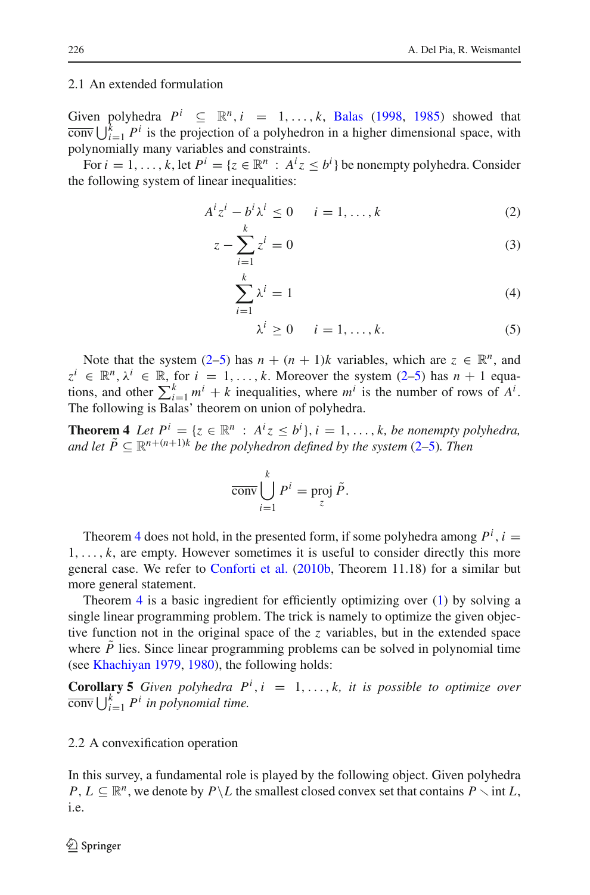#### 2.1 An extended formulation

Given polyhedra  $P^i \subseteq \mathbb{R}^n$ ,  $i = 1, ..., k$ , [Balas](#page-23-0) [\(1998,](#page-23-0) [1985](#page-23-8)) showed that  $\overline{\text{conv}}\bigcup_{i=1}^k P^i$  is the projection of a polyhedron in a higher dimensional space, with polynomially many variables and constraints.

<span id="page-6-0"></span>For  $i = 1, ..., k$ , let  $P^i = \{z \in \mathbb{R}^n : A^i z \leq b^i\}$  be nonempty polyhedra. Consider the following system of linear inequalities:

$$
A^i z^i - b^i \lambda^i \le 0 \qquad i = 1, \dots, k \tag{2}
$$

$$
z - \sum_{i=1}^{k} z^{i} = 0
$$
 (3)

$$
\sum_{i=1}^{k} \lambda^{i} = 1
$$
\n(4)

$$
\lambda^i \ge 0 \qquad i = 1, \dots, k. \tag{5}
$$

Note that the system [\(2–5\)](#page-6-0) has  $n + (n + 1)k$  variables, which are  $z \in \mathbb{R}^n$ , and  $z^i \in \mathbb{R}^n, \lambda^i \in \mathbb{R}$ , for  $i = 1, \ldots, k$ . Moreover the system [\(2–5\)](#page-6-0) has  $n + 1$  equations, and other  $\sum_{i=1}^{k} m^{i} + k$  inequalities, where  $m^{i}$  is the number of rows of  $A^{i}$ . The following is Balas' theorem on union of polyhedra.

<span id="page-6-1"></span>**Theorem 4** *Let*  $P^i = \{z \in \mathbb{R}^n : A^i z \leq b^i\}, i = 1, \ldots, k$ , be nonempty polyhedra, *and let*  $\tilde{P} \subset \mathbb{R}^{n+(n+1)k}$  *be the polyhedron defined by the system* [\(2–5\)](#page-6-0)*. Then* 

$$
\overline{\text{conv}}\bigcup_{i=1}^k P^i = \text{proj }\tilde{P}.
$$

Theorem [4](#page-6-1) does not hold, in the presented form, if some polyhedra among  $P^i$ ,  $i =$ 1,..., *k*, are empty. However sometimes it is useful to consider directly this more general case. We refer to [Conforti et al.](#page-23-6) [\(2010b](#page-23-6), Theorem 11.18) for a similar but more general statement.

Theorem [4](#page-6-1) is a basic ingredient for efficiently optimizing over [\(1\)](#page-5-1) by solving a single linear programming problem. The trick is namely to optimize the given objective function not in the original space of the  $\zeta$  variables, but in the extended space where  $P$  lies. Since linear programming problems can be solved in polynomial time (see [Khachiyan 1979,](#page-24-8) [1980\)](#page-24-9), the following holds:

<span id="page-6-2"></span>**Corollary 5** *Given polyhedra*  $P^i$ ,  $i = 1, ..., k$ , *it is possible to optimize over*  $\overline{\text{conv}}\bigcup_{i=1}^k P^i$  *in polynomial time.* 

#### 2.2 A convexification operation

In this survey, a fundamental role is played by the following object. Given polyhedra *P*,  $L \subseteq \mathbb{R}^n$ , we denote by  $P \setminus L$  the smallest closed convex set that contains  $P \setminus \text{int } L$ , i.e.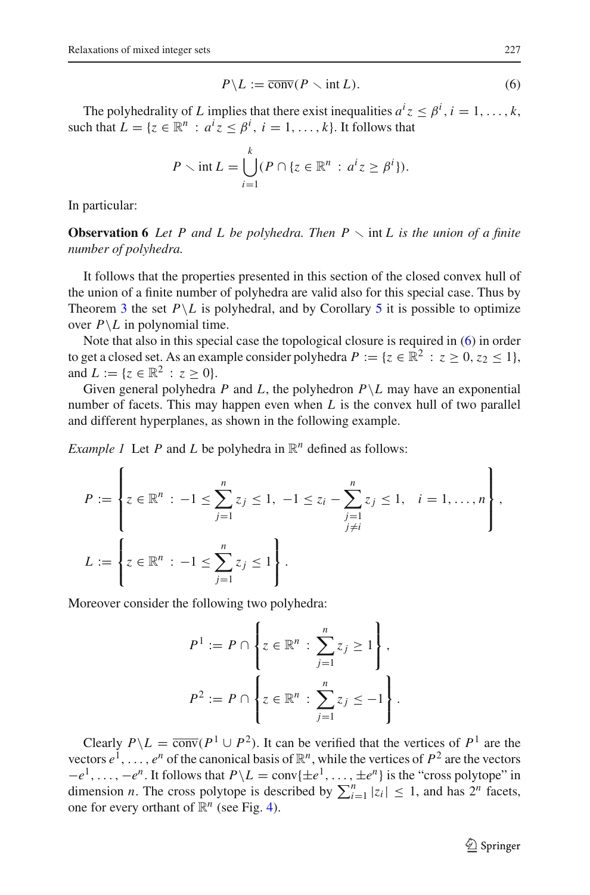$$
P \backslash L := \overline{\text{conv}}(P \backslash \text{int } L). \tag{6}
$$

<span id="page-7-0"></span>The polyhedrality of *L* implies that there exist inequalities  $a^i z \leq \beta^i$ ,  $i = 1, \ldots, k$ , such that  $L = \{z \in \mathbb{R}^n : a^i z \leq \beta^i, i = 1, ..., k\}$ . It follows that

$$
P \setminus \text{int } L = \bigcup_{i=1}^k (P \cap \{z \in \mathbb{R}^n : a^i z \ge \beta^i\}).
$$

In particular:

**Observation 6** Let P and L be polyhedra. Then  $P \setminus \text{int } L$  is the union of a finite *number of polyhedra.*

It follows that the properties presented in this section of the closed convex hull of the union of a finite number of polyhedra are valid also for this special case. Thus by Theorem [3](#page-5-2) the set  $P\setminus L$  is polyhedral, and by Corollary [5](#page-6-2) it is possible to optimize over  $P \backslash L$  in polynomial time.

Note that also in this special case the topological closure is required in [\(6\)](#page-7-0) in order to get a closed set. As an example consider polyhedra  $P := \{z \in \mathbb{R}^2 : z \ge 0, z_2 \le 1\}$ , and  $L := \{z \in \mathbb{R}^2 : z > 0\}.$ 

Given general polyhedra *P* and *L*, the polyhedron  $P \setminus L$  may have an exponential number of facets. This may happen even when *L* is the convex hull of two parallel and different hyperplanes, as shown in the following example.

<span id="page-7-1"></span>*Example 1* Let *P* and *L* be polyhedra in  $\mathbb{R}^n$  defined as follows:

$$
P := \left\{ z \in \mathbb{R}^n : -1 \le \sum_{j=1}^n z_j \le 1, -1 \le z_i - \sum_{\substack{j=1 \\ j \ne i}}^n z_j \le 1, i = 1, ..., n \right\},
$$
  

$$
L := \left\{ z \in \mathbb{R}^n : -1 \le \sum_{j=1}^n z_j \le 1 \right\}.
$$

Moreover consider the following two polyhedra:

$$
P^{1} := P \cap \left\{ z \in \mathbb{R}^{n} : \sum_{j=1}^{n} z_{j} \ge 1 \right\},\
$$
  

$$
P^{2} := P \cap \left\{ z \in \mathbb{R}^{n} : \sum_{j=1}^{n} z_{j} \le -1 \right\}.
$$

Clearly  $P\setminus L = \overline{conv}(P^1 \cup P^2)$ . It can be verified that the vertices of  $P^1$  are the vectors  $e^1, \ldots, e^n$  of the canonical basis of  $\mathbb{R}^n$ , while the vertices of  $P^2$  are the vectors  $-e^{1}, \ldots, -e^{n}$ . It follows that  $P \backslash L = \text{conv} \{\pm e^{1}, \ldots, \pm e^{n}\}$  is the "cross polytope" in dimension *n*. The cross polytope is described by  $\sum_{i=1}^{n} |z_i| \leq 1$ , and has  $2^n$  facets, one for every orthant of  $\mathbb{R}^n$  (see Fig. [4\)](#page-8-0).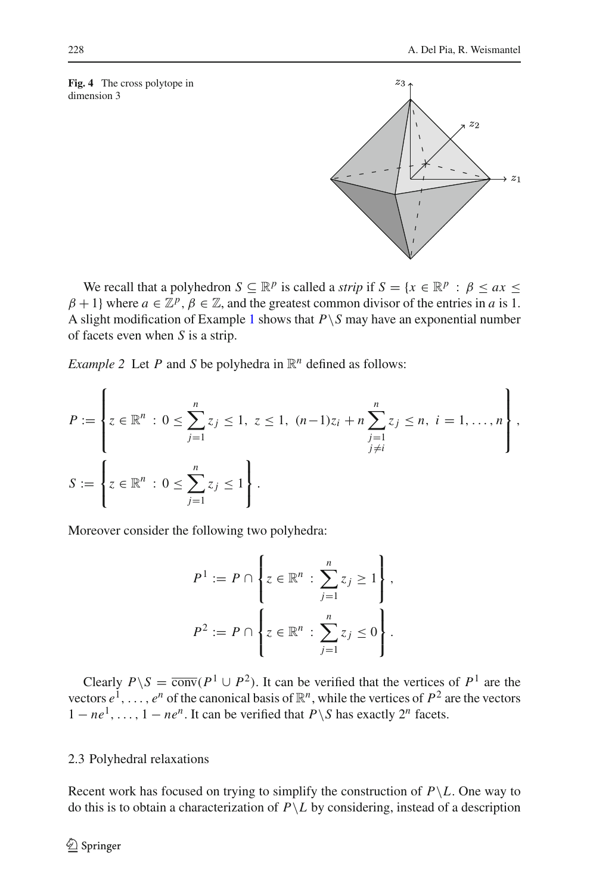#### <span id="page-8-0"></span>**Fig. 4** The cross polytope in dimension 3



We recall that a polyhedron  $S \subseteq \mathbb{R}^p$  is called a *strip* if  $S = \{x \in \mathbb{R}^p : \beta \le ax \le b\}$  $\beta + 1$ } where  $a \in \mathbb{Z}^p$ ,  $\beta \in \mathbb{Z}$ , and the greatest common divisor of the entries in *a* is 1. A slight modification of Example [1](#page-7-1) shows that  $P \setminus S$  may have an exponential number of facets even when *S* is a strip.

<span id="page-8-1"></span>*Example 2* Let *P* and *S* be polyhedra in  $\mathbb{R}^n$  defined as follows:

$$
P := \left\{ z \in \mathbb{R}^n : 0 \le \sum_{j=1}^n z_j \le 1, \ z \le 1, \ (n-1)z_i + n \sum_{\substack{j=1 \ j \ne i}}^n z_j \le n, \ i = 1, \dots, n \right\},
$$
  

$$
S := \left\{ z \in \mathbb{R}^n : 0 \le \sum_{j=1}^n z_j \le 1 \right\}.
$$

Moreover consider the following two polyhedra:

$$
P^{1} := P \cap \left\{ z \in \mathbb{R}^{n} : \sum_{j=1}^{n} z_{j} \ge 1 \right\},\
$$
  

$$
P^{2} := P \cap \left\{ z \in \mathbb{R}^{n} : \sum_{j=1}^{n} z_{j} \le 0 \right\}.
$$

Clearly  $P \setminus S = \overline{\text{conv}}(P^1 \cup P^2)$ . It can be verified that the vertices of  $P^1$  are the vectors  $e^1, \ldots, e^n$  of the canonical basis of  $\mathbb{R}^n$ , while the vertices of  $P^2$  are the vectors  $1 - ne^1, \ldots, 1 - ne^n$ . It can be verified that  $P \setminus S$  has exactly  $2^n$  facets.

# 2.3 Polyhedral relaxations

Recent work has focused on trying to simplify the construction of  $P \backslash L$ . One way to do this is to obtain a characterization of  $P \backslash L$  by considering, instead of a description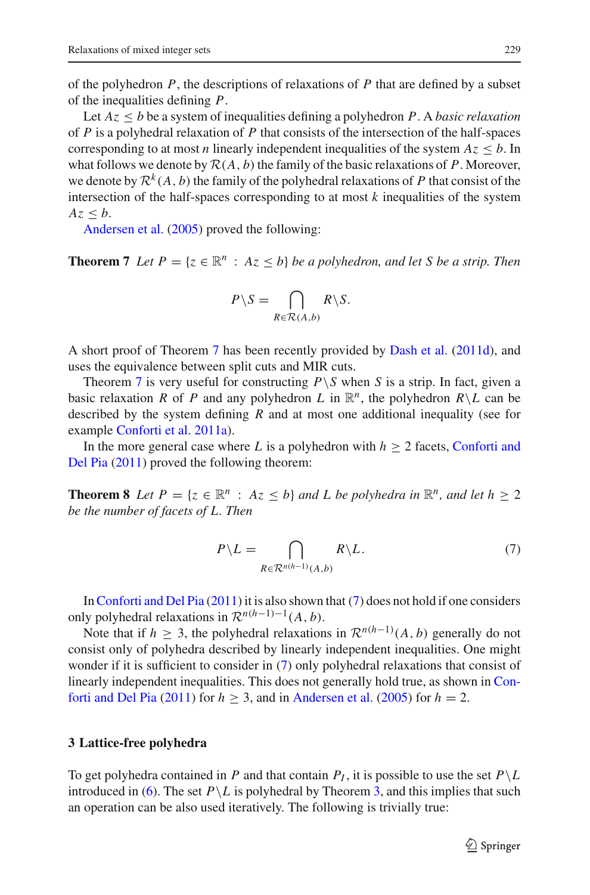of the polyhedron  $P$ , the descriptions of relaxations of  $P$  that are defined by a subset of the inequalities defining *P*.

Let  $Az \leq b$  be a system of inequalities defining a polyhedron P. A *basic relaxation* of *P* is a polyhedral relaxation of *P* that consists of the intersection of the half-spaces corresponding to at most *n* linearly independent inequalities of the system  $Az \leq b$ . In what follows we denote by  $R(A, b)$  the family of the basic relaxations of P. Moreover, we denote by  $\mathcal{R}^k(A, b)$  the family of the polyhedral relaxations of P that consist of the intersection of the half-spaces corresponding to at most *k* inequalities of the system  $Az < b$ .

Andersen et al. [\(2005\)](#page-22-2) proved the following:

<span id="page-9-1"></span>**Theorem 7** *Let*  $P = \{z \in \mathbb{R}^n : Az \leq b\}$  *be a polyhedron, and let S be a strip. Then* 

$$
P \backslash S = \bigcap_{R \in \mathcal{R}(A,b)} R \backslash S.
$$

A short proof of Theorem [7](#page-9-1) has been recently provided by [Dash et al.](#page-24-10) [\(2011d\)](#page-24-10), and uses the equivalence between split cuts and MIR cuts.

Theorem [7](#page-9-1) is very useful for constructing  $P \ S$  when *S* is a strip. In fact, given a basic relaxation *R* of *P* and any polyhedron *L* in  $\mathbb{R}^n$ , the polyhedron  $R \setminus L$  can be described by the system defining *R* and at most one additional inequality (see for example [Conforti et al. 2011a](#page-23-5)).

In t[he](#page-23-9) [more](#page-23-9) [general](#page-23-9) [case](#page-23-9) [where](#page-23-9) *L* is a polyhedron with  $h \geq 2$  facets, Conforti and Del Pia [\(2011](#page-23-9)) proved the following theorem:

**Theorem 8** *Let*  $P = \{z \in \mathbb{R}^n : Az \leq b\}$  *and L be polyhedra in*  $\mathbb{R}^n$ *, and let*  $h \geq 2$ *be the number of facets of L. Then*

$$
P \backslash L = \bigcap_{R \in \mathcal{R}^{n(h-1)}(A,b)} R \backslash L. \tag{7}
$$

<span id="page-9-2"></span>In[Conforti and Del Pia](#page-23-9) [\(2011](#page-23-9)) it is also shown that [\(7\)](#page-9-2) does not hold if one considers only polyhedral relaxations in  $\mathcal{R}^{n(h-1)-1}(A, b)$ .

Note that if *h*  $\geq$  3, the polyhedral relaxations in  $\mathcal{R}^{n(h-1)}(A, b)$  generally do not consist only of polyhedra described by linearly independent inequalities. One might wonder if it is sufficient to consider in [\(7\)](#page-9-2) only polyhedral relaxations that consist of linearly indepen[dent](#page-23-9) [inequalities.](#page-23-9) [This](#page-23-9) [does](#page-23-9) [not](#page-23-9) [generally](#page-23-9) [hold](#page-23-9) [true,](#page-23-9) [as](#page-23-9) [shown](#page-23-9) [in](#page-23-9) Con-forti and Del Pia [\(2011\)](#page-23-9) for  $h \geq 3$ , and in [Andersen et al.](#page-22-2) [\(2005\)](#page-22-2) for  $h = 2$ .

#### <span id="page-9-0"></span>**3 Lattice-free polyhedra**

To get polyhedra contained in *P* and that contain  $P_I$ , it is possible to use the set  $P\setminus L$ introduced in [\(6\)](#page-7-0). The set  $P \setminus L$  is polyhedral by Theorem [3,](#page-5-2) and this implies that such an operation can be also used iteratively. The following is trivially true: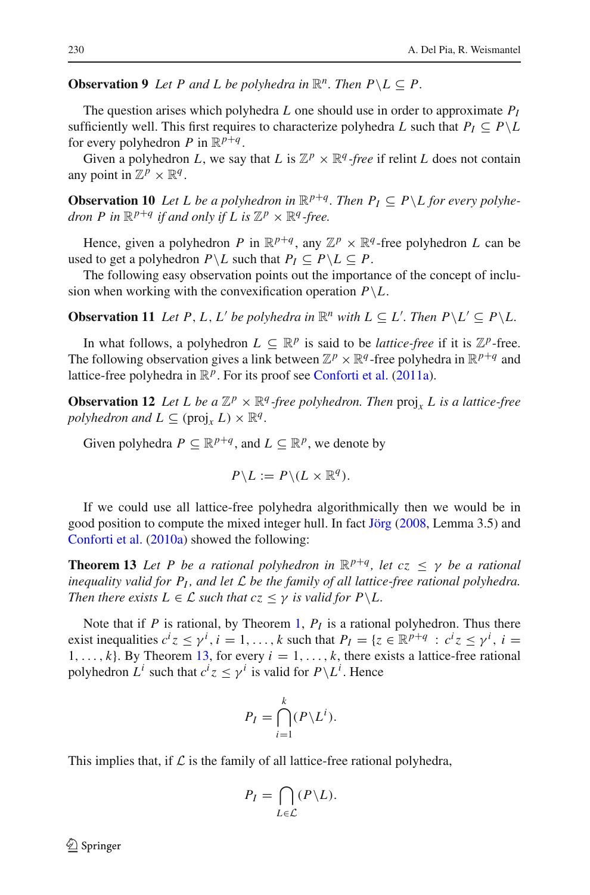**Observation 9** *Let P and L be polyhedra in*  $\mathbb{R}^n$ *. Then*  $P \setminus L \subseteq P$ *.* 

The question arises which polyhedra *L* one should use in order to approximate  $P_I$ sufficiently well. This first requires to characterize polyhedra *L* such that  $P_I \subseteq P \setminus L$ for every polyhedron *P* in  $\mathbb{R}^{p+q}$ .

<span id="page-10-2"></span>Given a polyhedron *L*, we say that *L* is  $\mathbb{Z}^p \times \mathbb{R}^q$ -free if relint *L* does not contain any point in  $\mathbb{Z}^p \times \mathbb{R}^q$ .

**Observation 10** Let L be a polyhedron in  $\mathbb{R}^{p+q}$ . Then  $P_I \subseteq P \setminus L$  for every polyhe*dron P in*  $\mathbb{R}^{p+q}$  *if and only if L is*  $\mathbb{Z}^p \times \mathbb{R}^q$ *-free.* 

Hence, given a polyhedron *P* in  $\mathbb{R}^{p+q}$ , any  $\mathbb{Z}^p \times \mathbb{R}^q$ -free polyhedron *L* can be used to get a polyhedron  $P \setminus L$  such that  $P_I \subseteq P \setminus L \subseteq P$ .

<span id="page-10-1"></span>The following easy observation points out the importance of the concept of inclusion when working with the convexification operation  $P\backslash L$ .

**Observation 11** *Let P, L, L' be polyhedra in*  $\mathbb{R}^n$  *with*  $L \subseteq L'$ *. Then*  $P \setminus L' \subseteq P \setminus L$ *.* 

In what follows, a polyhedron  $L \subseteq \mathbb{R}^p$  is said to be *lattice-free* if it is  $\mathbb{Z}^p$ -free. The following observation gives a link between  $\mathbb{Z}^p \times \mathbb{R}^q$ -free polyhedra in  $\mathbb{R}^{p+q}$  and lattice-free polyhedra in  $\mathbb{R}^p$ . For its proof see [Conforti et al.](#page-23-5) [\(2011a\)](#page-23-5).

**Observation 12** Let L be a  $\mathbb{Z}^p \times \mathbb{R}^q$ -free polyhedron. Then proj<sub>x</sub> L is a lattice-free *polyhedron and*  $L \subseteq (\text{proj}_x L) \times \mathbb{R}^q$ .

Given polyhedra  $P \subseteq \mathbb{R}^{p+q}$ , and  $L \subseteq \mathbb{R}^p$ , we denote by

$$
P \backslash L := P \backslash (L \times \mathbb{R}^q).
$$

If we could use all lattice-free polyhedra algorithmically then we would be in good position to compute the mixed integer hull. In fact [Jörg](#page-24-11) [\(2008,](#page-24-11) Lemma 3.5) and [Conforti et al.](#page-23-10) [\(2010a\)](#page-23-10) showed the following:

<span id="page-10-0"></span>**Theorem 13** *Let P be a rational polyhedron in*  $\mathbb{R}^{p+q}$ , *let cz*  $\leq \gamma$  *be a rational inequality valid for PI , and let L be the family of all lattice-free rational polyhedra. Then there exists*  $L \in \mathcal{L}$  *such that cz*  $\leq \gamma$  *is valid for P* \ *L*.

Note that if *P* is rational, by Theorem [1,](#page-2-1)  $P_I$  is a rational polyhedron. Thus there exist inequalities  $c^i z \leq \gamma^i$ ,  $i = 1, ..., k$  such that  $P_I = \{z \in \mathbb{R}^{p+q} : c^i z \leq \gamma^i, i = 1, ..., k\}$ 1,...,  $k$ . By Theorem [13,](#page-10-0) for every  $i = 1, \ldots, k$ , there exists a lattice-free rational polyhedron  $L^i$  such that  $c^i z \leq \gamma^i$  is valid for  $P \backslash L^i$ . Hence

$$
P_I = \bigcap_{i=1}^k (P \setminus L^i).
$$

This implies that, if  $\mathcal L$  is the family of all lattice-free rational polyhedra,

$$
P_I = \bigcap_{L \in \mathcal{L}} (P \backslash L).
$$

 $\circled{2}$  Springer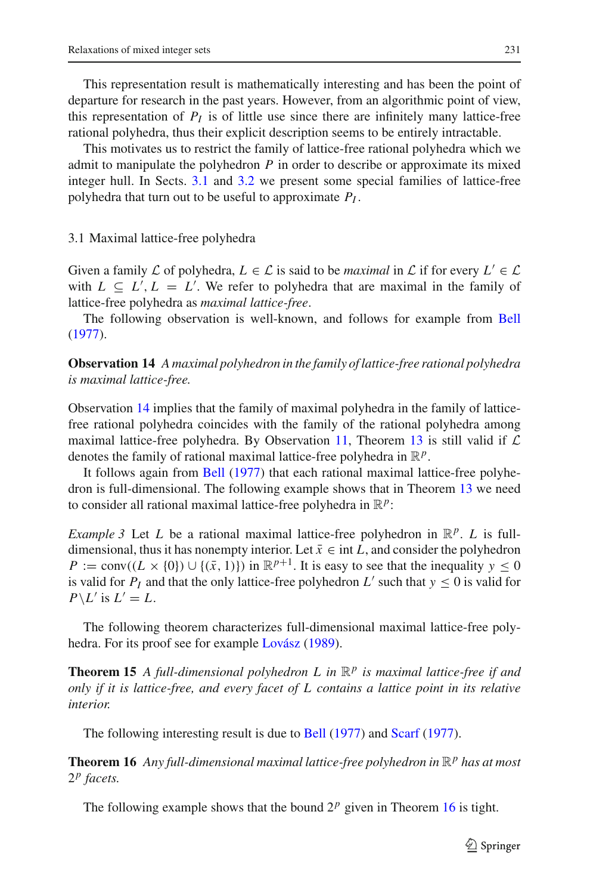This representation result is mathematically interesting and has been the point of departure for research in the past years. However, from an algorithmic point of view, this representation of  $P_I$  is of little use since there are infinitely many lattice-free rational polyhedra, thus their explicit description seems to be entirely intractable.

This motivates us to restrict the family of lattice-free rational polyhedra which we admit to manipulate the polyhedron *P* in order to describe or approximate its mixed integer hull. In Sects. [3.1](#page-11-0) and [3.2](#page-12-0) we present some special families of lattice-free polyhedra that turn out to be useful to approximate *PI* .

#### <span id="page-11-0"></span>3.1 Maximal lattice-free polyhedra

Given a family  $\mathcal L$  of polyhedra,  $L \in \mathcal L$  is said to be *maximal* in  $\mathcal L$  if for every  $L' \in \mathcal L$ with  $L \subseteq L', L = L'$ . We refer to polyhedra that are maximal in the family of lattice-free polyhedra as *maximal lattice-free*.

<span id="page-11-1"></span>The following observation is well-known, and follows for example from [Bell](#page-23-11) [\(1977\)](#page-23-11).

**Observation 14** *A maximal polyhedron in the family of lattice-free rational polyhedra is maximal lattice-free.*

Observation [14](#page-11-1) implies that the family of maximal polyhedra in the family of latticefree rational polyhedra coincides with the family of the rational polyhedra among maximal lattice-free polyhedra. By Observation [11,](#page-10-1) Theorem [13](#page-10-0) is still valid if *L* denotes the family of rational maximal lattice-free polyhedra in R*p*.

It follows again from [Bell](#page-23-11) [\(1977](#page-23-11)) that each rational maximal lattice-free polyhedron is full-dimensional. The following example shows that in Theorem [13](#page-10-0) we need to consider all rational maximal lattice-free polyhedra in  $\mathbb{R}^p$ :

<span id="page-11-4"></span>*Example 3* Let *L* be a rational maximal lattice-free polyhedron in  $\mathbb{R}^p$ . *L* is fulldimensional, thus it has nonempty interior. Let  $\bar{x} \in \text{int } L$ , and consider the polyhedron  $P := \text{conv}((L \times \{0\}) \cup \{(\bar{x}, 1)\})$  in  $\mathbb{R}^{p+1}$ . It is easy to see that the inequality  $y \le 0$ is valid for  $P_I$  and that the only lattice-free polyhedron  $L'$  such that  $y \le 0$  is valid for  $P \setminus L'$  is  $L' = L$ .

<span id="page-11-3"></span>The following theorem characterizes full-dimensional maximal lattice-free polyhedra. For its proof see for example [Lovász](#page-24-12) [\(1989\)](#page-24-12).

**Theorem 15** *A full-dimensional polyhedron L in* R*<sup>p</sup> is maximal lattice-free if and only if it is lattice-free, and every facet of L contains a lattice point in its relative interior.*

The following interesting result is due to [Bell](#page-23-11) [\(1977\)](#page-23-11) and [Scarf](#page-24-13) [\(1977](#page-24-13)).

<span id="page-11-2"></span>**Theorem 16** *Any full-dimensional maximal lattice-free polyhedron in*  $\mathbb{R}^p$  *has at most* 2*<sup>p</sup> facets.*

The following example shows that the bound  $2^p$  given in Theorem [16](#page-11-2) is tight.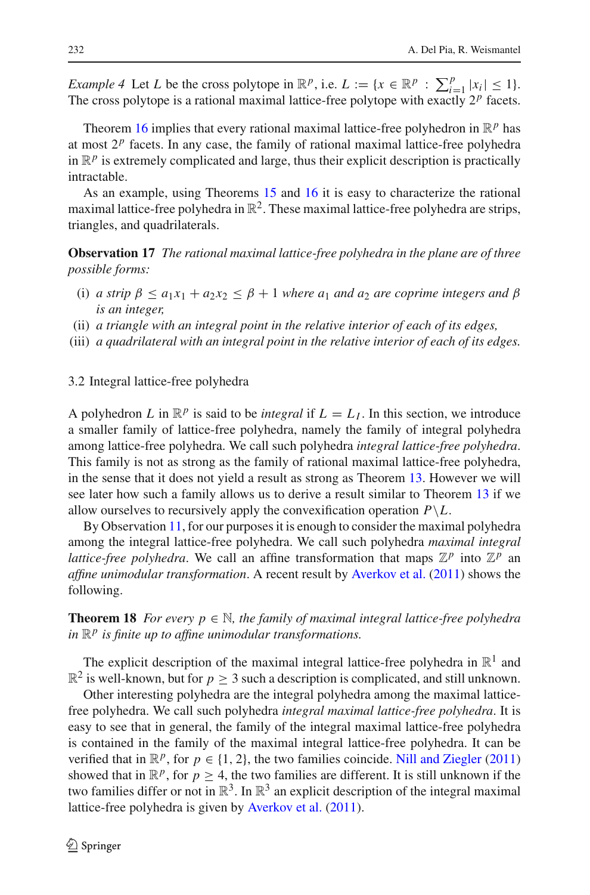*Example 4* Let *L* be the cross polytope in  $\mathbb{R}^p$ , i.e.  $L := \{x \in \mathbb{R}^p : \sum_{i=1}^p |x_i| \leq 1\}.$ The cross polytope is a rational maximal lattice-free polytope with exactly  $2^p$  facets.

Theorem [16](#page-11-2) implies that every rational maximal lattice-free polyhedron in  $\mathbb{R}^p$  has at most  $2<sup>p</sup>$  facets. In any case, the family of rational maximal lattice-free polyhedra in  $\mathbb{R}^p$  is extremely complicated and large, thus their explicit description is practically intractable.

As an example, using Theorems [15](#page-11-3) and [16](#page-11-2) it is easy to characterize the rational maximal lattice-free polyhedra in  $\mathbb{R}^2$ . These maximal lattice-free polyhedra are strips, triangles, and quadrilaterals.

**Observation 17** *The rational maximal lattice-free polyhedra in the plane are of three possible forms:*

- (i) *a strip*  $\beta \le a_1x_1 + a_2x_2 \le \beta + 1$  *where a*<sub>1</sub> *and a*<sub>2</sub> *are coprime integers and*  $\beta$ *is an integer,*
- (ii) *a triangle with an integral point in the relative interior of each of its edges,*
- (iii) *a quadrilateral with an integral point in the relative interior of each of its edges.*

#### <span id="page-12-0"></span>3.2 Integral lattice-free polyhedra

A polyhedron *L* in  $\mathbb{R}^p$  is said to be *integral* if  $L = L_I$ . In this section, we introduce a smaller family of lattice-free polyhedra, namely the family of integral polyhedra among lattice-free polyhedra. We call such polyhedra *integral lattice-free polyhedra*. This family is not as strong as the family of rational maximal lattice-free polyhedra, in the sense that it does not yield a result as strong as Theorem [13.](#page-10-0) However we will see later how such a family allows us to derive a result similar to Theorem [13](#page-10-0) if we allow ourselves to recursively apply the convexification operation  $P\backslash L$ .

By Observation [11,](#page-10-1) for our purposes it is enough to consider the maximal polyhedra among the integral lattice-free polyhedra. We call such polyhedra *maximal integral lattice-free polyhedra*. We call an affine transformation that maps  $\mathbb{Z}^p$  into  $\mathbb{Z}^p$  an *affine unimodular transformation*. A recent result by [Averkov et al.](#page-22-3) [\(2011](#page-22-3)) shows the following.

**Theorem 18** *For every*  $p \in \mathbb{N}$ *, the family of maximal integral lattice-free polyhedra in*  $\mathbb{R}^p$  *is finite up to affine unimodular transformations.* 

The explicit description of the maximal integral lattice-free polyhedra in  $\mathbb{R}^1$  and  $\mathbb{R}^2$  is well-known, but for  $p \geq 3$  such a description is complicated, and still unknown.

Other interesting polyhedra are the integral polyhedra among the maximal latticefree polyhedra. We call such polyhedra *integral maximal lattice-free polyhedra*. It is easy to see that in general, the family of the integral maximal lattice-free polyhedra is contained in the family of the maximal integral lattice-free polyhedra. It can be verified that in  $\mathbb{R}^p$ , for  $p \in \{1, 2\}$ , the two families coincide. [Nill and Ziegler](#page-24-14) [\(2011\)](#page-24-14) showed that in  $\mathbb{R}^p$ , for  $p \geq 4$ , the two families are different. It is still unknown if the two families differ or not in  $\mathbb{R}^3$ . In  $\mathbb{R}^3$  an explicit description of the integral maximal lattice-free polyhedra is given by [Averkov et al.](#page-22-3) [\(2011\)](#page-22-3).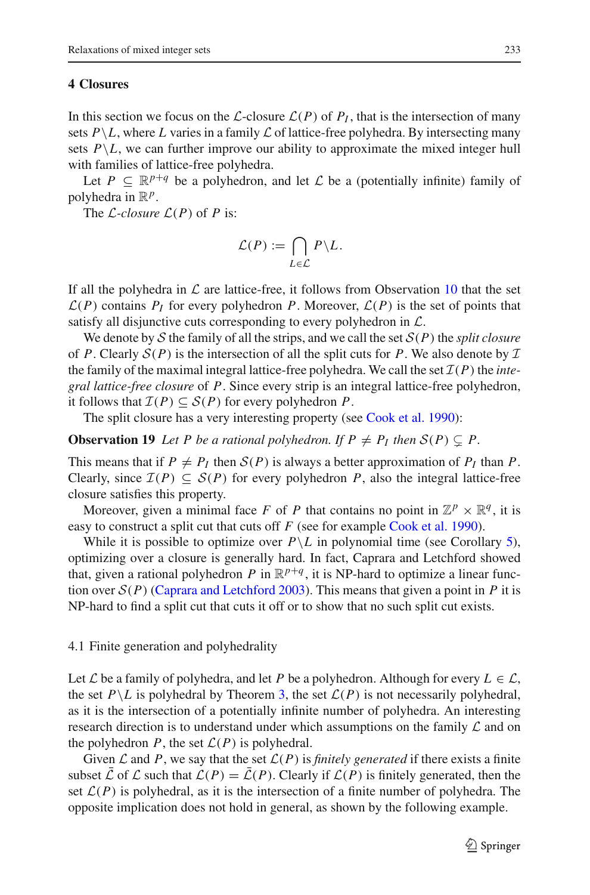### <span id="page-13-0"></span>**4 Closures**

In this section we focus on the *L*-closure  $\mathcal{L}(P)$  of  $P_I$ , that is the intersection of many sets  $P \backslash L$ , where *L* varies in a family *L* of lattice-free polyhedra. By intersecting many sets  $P \backslash L$ , we can further improve our ability to approximate the mixed integer hull with families of lattice-free polyhedra.

Let  $P \subseteq \mathbb{R}^{p+q}$  be a polyhedron, and let  $\mathcal L$  be a (potentially infinite) family of polyhedra in  $\mathbb{R}^p$ .

The  $\mathcal{L}\text{-}closure \mathcal{L}(P)$  of P is:

$$
\mathcal{L}(P) := \bigcap_{L \in \mathcal{L}} P \backslash L.
$$

If all the polyhedra in  $\mathcal L$  are lattice-free, it follows from Observation [10](#page-10-2) that the set  $\mathcal{L}(P)$  contains  $P_I$  for every polyhedron *P*. Moreover,  $\mathcal{L}(P)$  is the set of points that satisfy all disjunctive cuts corresponding to every polyhedron in *L*.

We denote by *S* the family of all the strips, and we call the set  $S(P)$  the *split closure* of *P*. Clearly  $S(P)$  is the intersection of all the split cuts for *P*. We also denote by  $I$ the family of the maximal integral lattice-free polyhedra. We call the set  $\mathcal{I}(P)$  the *integral lattice-free closure* of *P*. Since every strip is an integral lattice-free polyhedron, it follows that  $\mathcal{I}(P) \subset \mathcal{S}(P)$  for every polyhedron P.

The split closure has a very interesting property (see [Cook et al. 1990\)](#page-23-2):

**Observation 19** Let P be a rational polyhedron. If  $P \neq P_I$  then  $S(P) \subseteq P$ .

This means that if  $P \neq P_I$  then  $S(P)$  is always a better approximation of  $P_I$  than  $P$ . Clearly, since  $\mathcal{I}(P) \subseteq \mathcal{S}(P)$  for every polyhedron P, also the integral lattice-free closure satisfies this property.

Moreover, given a minimal face *F* of *P* that contains no point in  $\mathbb{Z}^p \times \mathbb{R}^q$ , it is easy to construct a split cut that cuts off *F* (see for example [Cook et al. 1990](#page-23-2)).

While it is possible to optimize over  $P \backslash L$  in polynomial time (see Corollary [5\)](#page-6-2), optimizing over a closure is generally hard. In fact, Caprara and Letchford showed that, given a rational polyhedron *P* in  $\mathbb{R}^{p+q}$ , it is NP-hard to optimize a linear function over  $S(P)$  [\(Caprara and Letchford 2003](#page-23-12)). This means that given a point in *P* it is NP-hard to find a split cut that cuts it off or to show that no such split cut exists.

#### <span id="page-13-1"></span>4.1 Finite generation and polyhedrality

Let *L* be a family of polyhedra, and let *P* be a polyhedron. Although for every  $L \in \mathcal{L}$ , the set  $P\setminus L$  is polyhedral by Theorem [3,](#page-5-2) the set  $\mathcal{L}(P)$  is not necessarily polyhedral, as it is the intersection of a potentially infinite number of polyhedra. An interesting research direction is to understand under which assumptions on the family *L* and on the polyhedron *P*, the set  $\mathcal{L}(P)$  is polyhedral.

Given  $\mathcal L$  and  $P$ , we say that the set  $\mathcal L(P)$  is *finitely generated* if there exists a finite subset  $\bar{\mathcal{L}}$  of  $\mathcal{L}$  such that  $\mathcal{L}(P) = \bar{\mathcal{L}}(P)$ . Clearly if  $\mathcal{L}(P)$  is finitely generated, then the set  $\mathcal{L}(P)$  is polyhedral, as it is the intersection of a finite number of polyhedra. The opposite implication does not hold in general, as shown by the following example.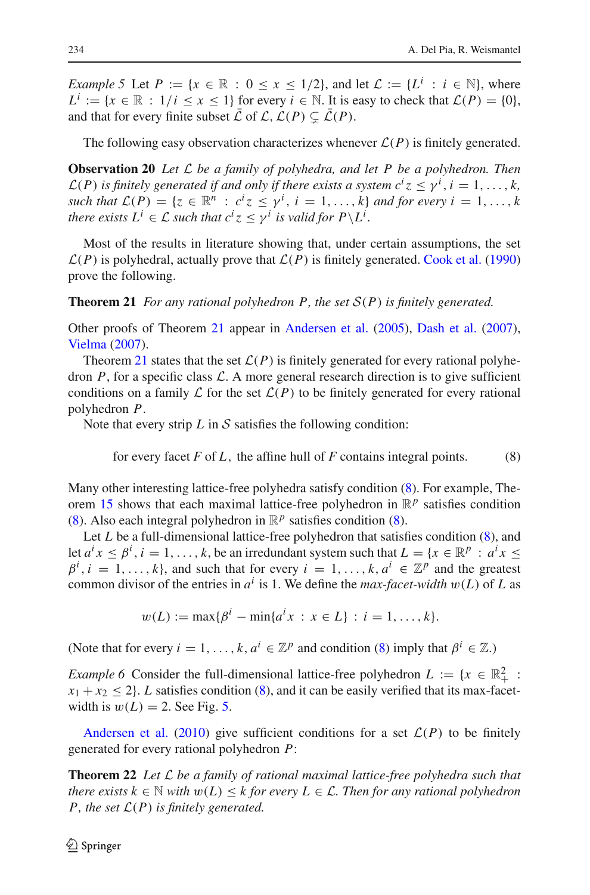*Example 5* Let  $P := \{x \in \mathbb{R} : 0 \le x \le 1/2\}$ , and let  $\mathcal{L} := \{L^i : i \in \mathbb{N}\}$ , where  $L^i := \{x \in \mathbb{R} : 1/i \le x \le 1\}$  for every  $i \in \mathbb{N}$ . It is easy to check that  $\mathcal{L}(P) = \{0\},\$ and that for every finite subset  $\overline{L}$  of  $\mathcal{L}$ ,  $\mathcal{L}(P) \subseteq \overline{\mathcal{L}}(P)$ .

The following easy observation characterizes whenever  $\mathcal{L}(P)$  is finitely generated.

**Observation 20** *Let L be a family of polyhedra, and let P be a polyhedron. Then*  $\mathcal{L}(P)$  *is finitely generated if and only if there exists a system*  $c^i z \leq \gamma^i$ *,*  $i = 1, ..., k$ *, such that*  $\mathcal{L}(P) = \{z \in \mathbb{R}^n : c^iz \leq \gamma^i, i = 1, \ldots, k\}$  *and for every i* = 1,..., *k there exists*  $L^i \in \mathcal{L}$  *such that*  $c^i z \leq \gamma^i$  *is valid for*  $P \setminus L^i$ *.* 

Most of the results in literature showing that, under certain assumptions, the set  $\mathcal{L}(P)$  is polyhedral, actually prove that  $\mathcal{L}(P)$  is finitely generated. [Cook et al.](#page-23-2) [\(1990\)](#page-23-2) prove the following.

<span id="page-14-0"></span>**Theorem 21** *For any rational polyhedron P, the set S*(*P*) *is finitely generated.*

Other proofs of Theorem [21](#page-14-0) appear in [Andersen et al.](#page-22-2) [\(2005\)](#page-22-2), [Dash et al.](#page-23-13) [\(2007](#page-23-13)), [Vielma](#page-24-15) [\(2007](#page-24-15)).

Theorem [21](#page-14-0) states that the set  $\mathcal{L}(P)$  is finitely generated for every rational polyhedron  $P$ , for a specific class  $\mathcal{L}$ . A more general research direction is to give sufficient conditions on a family  $\mathcal L$  for the set  $\mathcal L(P)$  to be finitely generated for every rational polyhedron *P*.

Note that every strip  $L$  in  $S$  satisfies the following condition:

for every facet  $F$  of  $L$ , the affine hull of  $F$  contains integral points. (8)

<span id="page-14-1"></span>Many other interesting lattice-free polyhedra satisfy condition [\(8\)](#page-14-1). For example, The-orem [15](#page-11-3) shows that each maximal lattice-free polyhedron in  $\mathbb{R}^p$  satisfies condition [\(8\)](#page-14-1). Also each integral polyhedron in  $\mathbb{R}^p$  satisfies condition (8).

Let *L* be a full-dimensional lattice-free polyhedron that satisfies condition [\(8\)](#page-14-1), and let  $a^i x \le \beta^i$ ,  $i = 1, ..., k$ , be an irredundant system such that  $L = \{x \in \mathbb{R}^p : a^i x \le$  $\beta^{i}$ , *i* = 1, ..., *k*}, and such that for every *i* = 1, ..., *k*,  $a^{i} \in \mathbb{Z}^{p}$  and the greatest common divisor of the entries in  $a^i$  is 1. We define the *max-facet-width*  $w(L)$  of  $L$  as

$$
w(L) := \max\{\beta^i - \min\{a^i x : x \in L\} : i = 1, ..., k\}.
$$

(Note that for every  $i = 1, ..., k, a^i \in \mathbb{Z}^p$  and condition [\(8\)](#page-14-1) imply that  $\beta^i \in \mathbb{Z}$ .)

*Example 6* Consider the full-dimensional lattice-free polyhedron  $L := \{x \in \mathbb{R}^2_+ :$  $x_1 + x_2 \leq 2$ . *L* satisfies condition [\(8\)](#page-14-1), and it can be easily verified that its max-facetwidth is  $w(L) = 2$ . See Fig. [5.](#page-15-0)

<span id="page-14-2"></span>Andersen et al. [\(2010\)](#page-22-0) give sufficient conditions for a set  $\mathcal{L}(P)$  to be finitely generated for every rational polyhedron *P*:

**Theorem 22** *Let L be a family of rational maximal lattice-free polyhedra such that there exists*  $k \in \mathbb{N}$  *with*  $w(L) \leq k$  *for every*  $L \in \mathcal{L}$ *. Then for any rational polyhedron P, the set L*(*P*) *is finitely generated.*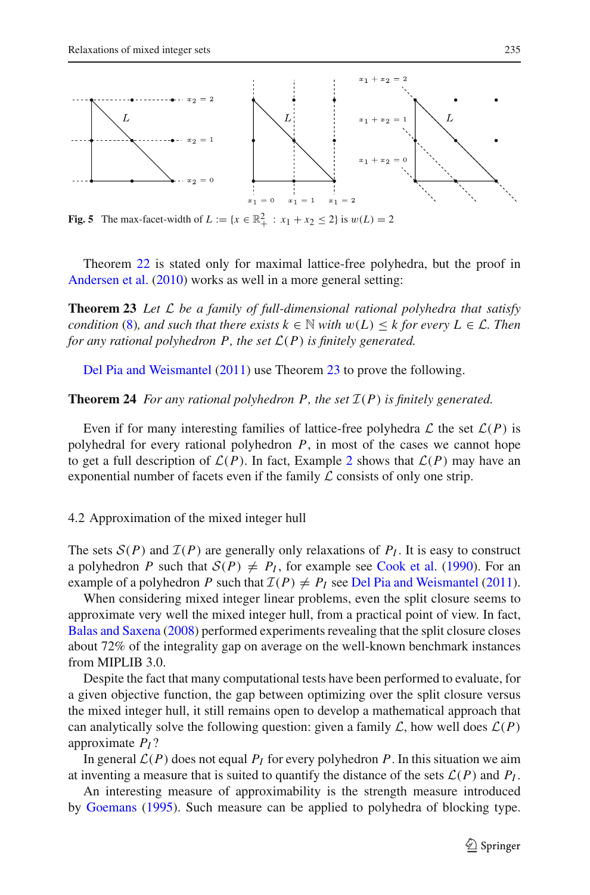

<span id="page-15-0"></span>**Fig. 5** The max-facet-width of  $L := \{x \in \mathbb{R}^2_+ : x_1 + x_2 \le 2\}$  is  $w(L) = 2$ 

<span id="page-15-1"></span>Theorem [22](#page-14-2) is stated only for maximal lattice-free polyhedra, but the proof in [Andersen et al.](#page-22-0) [\(2010](#page-22-0)) works as well in a more general setting:

**Theorem 23** *Let L be a family of full-dimensional rational polyhedra that satisfy condition* [\(8\)](#page-14-1)*, and such that there exists*  $k \in \mathbb{N}$  *with*  $w(L) \leq k$  *for every*  $L \in \mathcal{L}$ *. Then for any rational polyhedron P, the set*  $L(P)$  *is finitely generated.* 

Del Pia and Weismantel [\(2011\)](#page-24-16) use Theorem [23](#page-15-1) to prove the following.

<span id="page-15-2"></span>**Theorem 24** *For any rational polyhedron P, the set*  $I(P)$  *is finitely generated.* 

Even if for many interesting families of lattice-free polyhedra  $\mathcal L$  the set  $\mathcal L(P)$  is polyhedral for every rational polyhedron *P*, in most of the cases we cannot hope to get a full description of  $\mathcal{L}(P)$ . In fact, Example [2](#page-8-1) shows that  $\mathcal{L}(P)$  may have an exponential number of facets even if the family *L* consists of only one strip.

4.2 Approximation of the mixed integer hull

The sets  $S(P)$  and  $I(P)$  are generally only relaxations of  $P<sub>I</sub>$ . It is easy to construct a polyhedron *P* such that  $S(P) \neq P_I$ , for example see [Cook et al.](#page-23-2) [\(1990\)](#page-23-2). For an example of a polyhedron *P* such that  $\mathcal{I}(P) \neq P_I$  see [Del Pia and Weismantel](#page-24-16) [\(2011](#page-24-16)).

When considering mixed integer linear problems, even the split closure seems to approximate very well the mixed integer hull, from a practical point of view. In fact, [Balas and Saxena](#page-23-14) [\(2008\)](#page-23-14) performed experiments revealing that the split closure closes about 72% of the integrality gap on average on the well-known benchmark instances from MIPLIB 3.0.

Despite the fact that many computational tests have been performed to evaluate, for a given objective function, the gap between optimizing over the split closure versus the mixed integer hull, it still remains open to develop a mathematical approach that can analytically solve the following question: given a family  $\mathcal{L}$ , how well does  $\mathcal{L}(P)$ approximate *PI* ?

In general  $\mathcal{L}(P)$  does not equal  $P_I$  for every polyhedron P. In this situation we aim at inventing a measure that is suited to quantify the distance of the sets  $\mathcal{L}(P)$  and  $P_I$ .

An interesting measure of approximability is the strength measure introduced by [Goemans](#page-24-17) [\(1995\)](#page-24-17). Such measure can be applied to polyhedra of blocking type.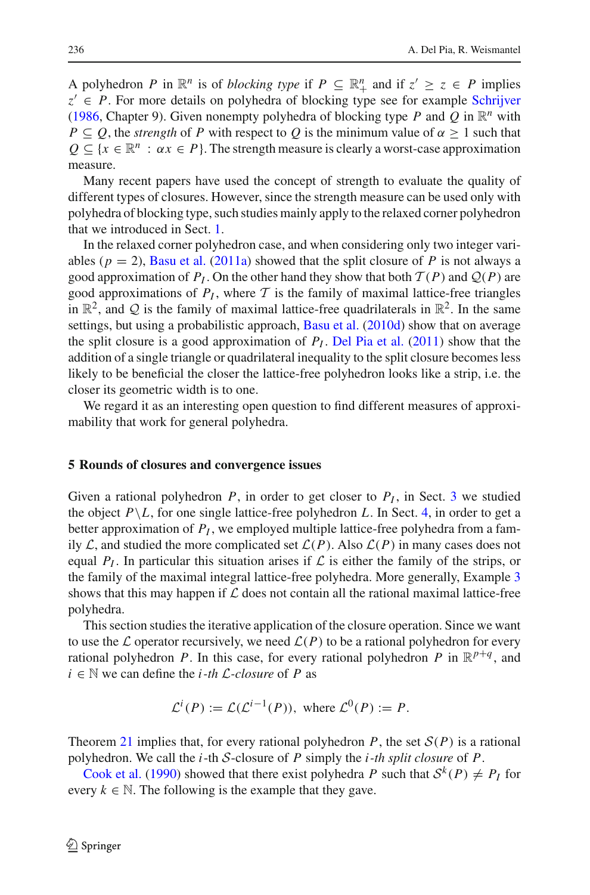A polyhedron *P* in  $\mathbb{R}^n$  is of *blocking type* if  $P \subseteq \mathbb{R}^n_+$  and if  $z' \ge z \in P$  implies  $z' \in P$ . For more details on polyhedra of blocking type see for example [Schrijver](#page-24-1) [\(1986,](#page-24-1) Chapter 9). Given nonempty polyhedra of blocking type *P* and *Q* in  $\mathbb{R}^n$  with *P*  $\subseteq$  *Q*, the *strength* of *P* with respect to *Q* is the minimum value of  $\alpha \ge 1$  such that  $Q \subseteq \{x \in \mathbb{R}^n : \alpha x \in P\}$ . The strength measure is clearly a worst-case approximation measure.

Many recent papers have used the concept of strength to evaluate the quality of different types of closures. However, since the strength measure can be used only with polyhedra of blocking type, such studies mainly apply to the relaxed corner polyhedron that we introduced in Sect. [1.](#page-1-0)

In the relaxed corner polyhedron case, and when considering only two integer variables ( $p = 2$ ), [Basu et al.](#page-23-15) [\(2011a](#page-23-15)) showed that the split closure of *P* is not always a good approximation of  $P_I$ . On the other hand they show that both  $\mathcal{T}(P)$  and  $\mathcal{Q}(P)$  are good approximations of  $P_I$ , where  $T$  is the family of maximal lattice-free triangles in  $\mathbb{R}^2$ , and Q is the family of maximal lattice-free quadrilaterals in  $\mathbb{R}^2$ . In the same settings, but using a probabilistic approach, [Basu et al.](#page-23-16) [\(2010d](#page-23-16)) show that on average the split closure is a good approximation of  $P_I$ . [Del Pia et al.](#page-24-18) [\(2011](#page-24-18)) show that the addition of a single triangle or quadrilateral inequality to the split closure becomes less likely to be beneficial the closer the lattice-free polyhedron looks like a strip, i.e. the closer its geometric width is to one.

We regard it as an interesting open question to find different measures of approximability that work for general polyhedra.

#### <span id="page-16-0"></span>**5 Rounds of closures and convergence issues**

Given a rational polyhedron  $P$ , in order to get closer to  $P<sub>I</sub>$ , in Sect. [3](#page-9-0) we studied the object  $P \backslash L$ , for one single lattice-free polyhedron *L*. In Sect. [4,](#page-13-0) in order to get a better approximation of  $P_I$ , we employed multiple lattice-free polyhedra from a family  $\mathcal{L}$ , and studied the more complicated set  $\mathcal{L}(P)$ . Also  $\mathcal{L}(P)$  in many cases does not equal  $P_I$ . In particular this situation arises if  $\mathcal L$  is either the family of the strips, or the family of the maximal integral lattice-free polyhedra. More generally, Example [3](#page-11-4) shows that this may happen if *L* does not contain all the rational maximal lattice-free polyhedra.

This section studies the iterative application of the closure operation. Since we want to use the  $\mathcal L$  operator recursively, we need  $\mathcal L(P)$  to be a rational polyhedron for every rational polyhedron *P*. In this case, for every rational polyhedron *P* in  $\mathbb{R}^{p+q}$ , and  $i \in \mathbb{N}$  we can define the *i*-th *L*-closure of *P* as

$$
\mathcal{L}^i(P) := \mathcal{L}(\mathcal{L}^{i-1}(P)), \text{ where } \mathcal{L}^0(P) := P.
$$

Theorem [21](#page-14-0) implies that, for every rational polyhedron *P*, the set  $S(P)$  is a rational [polyhedron.](#page-23-2) [W](#page-23-2)e call the *i*-th *S*-closure of *P* simply the *i-th split closure* of *P*.

<span id="page-16-1"></span>Cook et al. [\(1990\)](#page-23-2) showed that there exist polyhedra *P* such that  $S^k(P) \neq P$  for every  $k \in \mathbb{N}$ . The following is the example that they gave.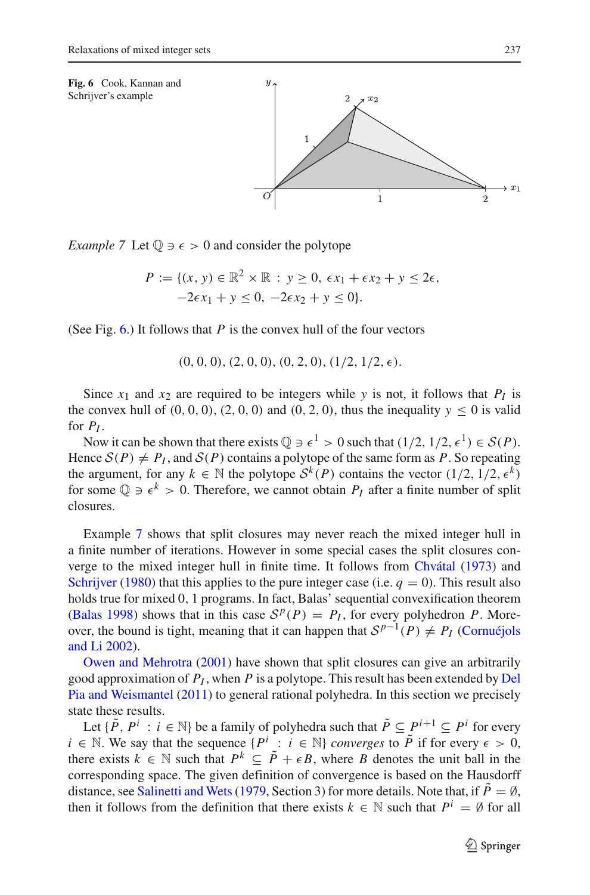<span id="page-17-0"></span>

*Example* 7 Let  $\mathbb{Q} \ni \epsilon > 0$  and consider the polytope

$$
P := \{ (x, y) \in \mathbb{R}^2 \times \mathbb{R} : y \ge 0, \epsilon x_1 + \epsilon x_2 + y \le 2\epsilon, -2\epsilon x_1 + y \le 0, -2\epsilon x_2 + y \le 0 \}.
$$

(See Fig. [6.](#page-17-0)) It follows that *P* is the convex hull of the four vectors

 $(0, 0, 0), (2, 0, 0), (0, 2, 0), (1/2, 1/2, \epsilon).$ 

Since  $x_1$  and  $x_2$  are required to be integers while *y* is not, it follows that  $P_I$  is the convex hull of  $(0, 0, 0)$ ,  $(2, 0, 0)$  and  $(0, 2, 0)$ , thus the inequality  $y \le 0$  is valid for  $P_I$ .

Now it can be shown that there exists  $\mathbb{Q} \ni \epsilon^1 > 0$  such that  $(1/2, 1/2, \epsilon^1) \in S(P)$ . Hence  $S(P) \neq P_I$ , and  $S(P)$  contains a polytope of the same form as P. So repeating the argument, for any  $k \in \mathbb{N}$  the polytope  $S^k(P)$  contains the vector  $(1/2, 1/2, \epsilon^k)$ for some  $\mathbb{Q} \ni \epsilon^k > 0$ . Therefore, we cannot obtain  $P_I$  after a finite number of split closures.

Example [7](#page-16-1) shows that split closures may never reach the mixed integer hull in a finite number of iterations. However in some special cases the split closures converge to the mixed integer hull in finite time. It follows from [Chvátal](#page-23-17) [\(1973\)](#page-23-17) and [Schrijver](#page-24-19) [\(1980\)](#page-24-19) that this applies to the pure integer case (i.e.  $q = 0$ ). This result also holds true for mixed 0, 1 programs. In fact, Balas' sequential convexification theorem [\(Balas 1998](#page-23-0)) shows that in this case  $S^p(P) = P_I$ , for every polyhedron *P*. Moreover, t[he](#page-23-18) [bound](#page-23-18) [is](#page-23-18) [tight,](#page-23-18) [meaning](#page-23-18) [that](#page-23-18) [it](#page-23-18) [can](#page-23-18) [happen](#page-23-18) that  $S^{p-1}(P) \neq P_I$  (Cornuéjols [and](#page-24-20) [Li](#page-24-20) [2002](#page-23-18)[\).](#page-24-20)

Owen and Mehrotra [\(2001](#page-24-20)) have shown that split closures can give an arbitrarily good approximation of *PI* , when *P* [is](#page-24-16) [a](#page-24-16) [polytope.](#page-24-16) [This](#page-24-16) [result](#page-24-16) [has](#page-24-16) [been](#page-24-16) [extended](#page-24-16) [by](#page-24-16) Del Pia and Weismantel [\(2011](#page-24-16)) to general rational polyhedra. In this section we precisely state these results.

Let  $\{\tilde{P}, P^i : i \in \mathbb{N}\}\$  be a family of polyhedra such that  $\tilde{P} \subseteq P^{i+1} \subseteq P^i$  for every *i* ∈ N. We say that the sequence  $\{P^i : i \in \mathbb{N}\}\$ converges to  $\overline{P}$  if for every  $\epsilon > 0$ , there exists  $k \in \mathbb{N}$  such that  $P^k \subseteq \tilde{P} + \epsilon B$ , where *B* denotes the unit ball in the corresponding space. The given definition of convergence is based on the Hausdorff distance, see Salinetti and Wets (1979, Section 3) for more details. Note that, if  $\tilde{P} = \emptyset$ , then it follows from the definition that there exists  $k \in \mathbb{N}$  such that  $P^i = \emptyset$  for all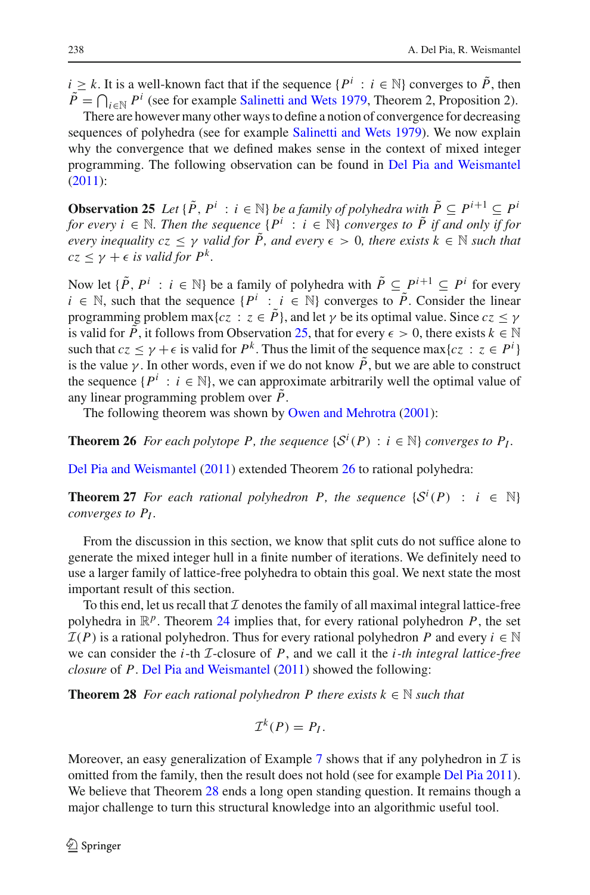*i* ≥ *k*. It is a well-known fact that if the sequence  $\{P^i : i \in \mathbb{N}\}\)$  converges to  $\tilde{P}$ , then  $\tilde{P} = \bigcap_{i \in \mathbb{N}} P^i$  (see for example [Salinetti and Wets 1979,](#page-24-21) Theorem 2, Proposition 2).

There are however many other ways to define a notion of convergence for decreasing sequences of polyhedra (see for example [Salinetti and Wets 1979](#page-24-21)). We now explain why the convergence that we defined makes sense in the context of mixed integer programming. The following observation can be found in [Del Pia and Weismantel](#page-24-16) [\(2011\)](#page-24-16):

<span id="page-18-0"></span>**Observation 25** *Let* { $\tilde{P}$ ,  $P^i$  :  $i \in \mathbb{N}$ } *be a family of polyhedra with*  $\tilde{P} \subseteq P^{i+1} \subseteq P^i$ *for every i*  $\in$  N. Then the sequence  $\{P^i : i \in \mathbb{N}\}\$  *converges to*  $\tilde{P}$  *if and only if for every inequality cz*  $\leq \gamma$  *valid for*  $\tilde{P}$ *, and every*  $\epsilon > 0$ *, there exists*  $k \in \mathbb{N}$  *such that*  $cz < \gamma + \epsilon$  *is valid for*  $P^k$ .

Now let  $\{\tilde{P}, P^i : i \in \mathbb{N}\}$  be a family of polyhedra with  $\tilde{P} \subseteq P^{i+1} \subseteq P^i$  for every *i* ∈ N, such that the sequence  $\{P^i : i \in \mathbb{N}\}\)$  converges to  $\overline{P}$ . Consider the linear programming problem max{ $cz : z \in \tilde{P}$ }, and let  $\gamma$  be its optimal value. Since  $cz \leq \gamma$ is valid for  $\tilde{P}$ , it follows from Observation [25,](#page-18-0) that for every  $\epsilon > 0$ , there exists  $k \in \mathbb{N}$ such that  $cz \leq \gamma + \epsilon$  is valid for  $P^k$ . Thus the limit of the sequence max $\{cz : z \in P^i\}$ is the value  $\gamma$ . In other words, even if we do not know  $\tilde{P}$ , but we are able to construct the sequence  $\{P^i : i \in \mathbb{N}\}\)$ , we can approximate arbitrarily well the optimal value of any linear programming problem over  $\tilde{P}$ .

The following theorem was shown by [Owen and Mehrotra](#page-24-20) [\(2001\)](#page-24-20):

<span id="page-18-1"></span>**Theorem 26** *For each polytope P, the sequence*  $\{S^i(P) : i \in \mathbb{N}\}\$ converges to  $P_I$ .

Del Pia and Weismantel [\(2011](#page-24-16)) extended Theorem [26](#page-18-1) to rational polyhedra:

**Theorem 27** *For each rational polyhedron P, the sequence*  $\{S^i(P) : i \in \mathbb{N}\}$ *converges to PI .*

From the discussion in this section, we know that split cuts do not suffice alone to generate the mixed integer hull in a finite number of iterations. We definitely need to use a larger family of lattice-free polyhedra to obtain this goal. We next state the most important result of this section.

To this end, let us recall that  $I$  denotes the family of all maximal integral lattice-free polyhedra in  $\mathbb{R}^p$ . Theorem [24](#page-15-2) implies that, for every rational polyhedron P, the set  $I(P)$  is a rational polyhedron. Thus for every rational polyhedron *P* and every  $i \in \mathbb{N}$ we can consider the *i*-th *I*-closure of *P*, and we call it the *i-th integral lattice-free closure* of *P*. [Del Pia and Weismantel](#page-24-16) [\(2011](#page-24-16)) showed the following:

**Theorem 28** *For each rational polyhedron P there exists*  $k \in \mathbb{N}$  *such that* 

<span id="page-18-2"></span>
$$
\mathcal{I}^k(P)=P_I.
$$

Moreover, an easy generalization of Example  $7$  shows that if any polyhedron in  $T$  is omitted from the family, then the result does not hold (see for example [Del Pia 2011](#page-24-22)). We believe that Theorem [28](#page-18-2) ends a long open standing question. It remains though a major challenge to turn this structural knowledge into an algorithmic useful tool.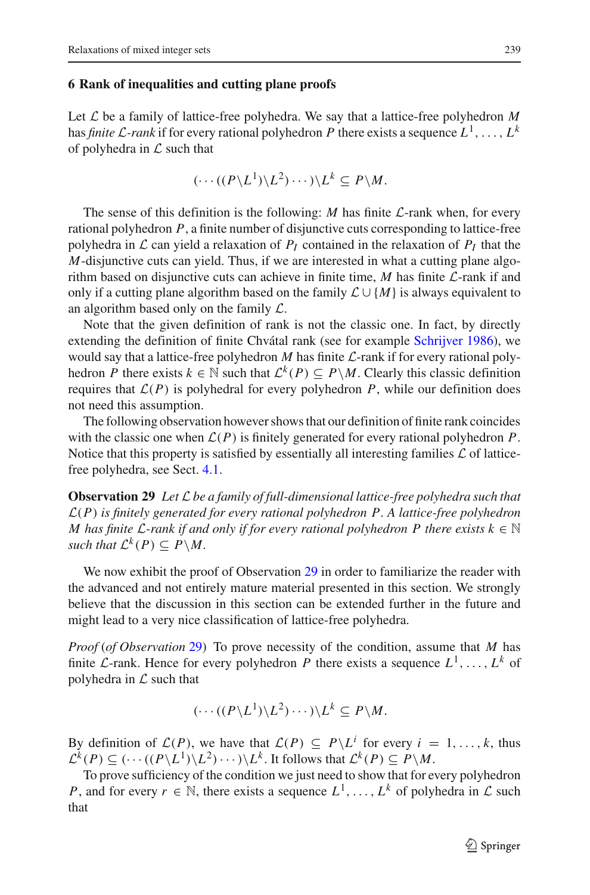#### <span id="page-19-0"></span>**6 Rank of inequalities and cutting plane proofs**

Let  $\mathcal L$  be a family of lattice-free polyhedra. We say that a lattice-free polyhedron  $M$ has *finite*  $\mathcal{L}$ *-rank* if for every rational polyhedron P there exists a sequence  $L^1, \ldots, L^k$ of polyhedra in *L* such that

$$
(\cdots((P\backslash L^1)\backslash L^2)\cdots)\backslash L^k\subseteq P\backslash M.
$$

The sense of this definition is the following: *M* has finite *L*-rank when, for every rational polyhedron *P*, a finite number of disjunctive cuts corresponding to lattice-free polyhedra in  $\mathcal L$  can yield a relaxation of  $P_I$  contained in the relaxation of  $P_I$  that the *M*-disjunctive cuts can yield. Thus, if we are interested in what a cutting plane algorithm based on disjunctive cuts can achieve in finite time, *M* has finite *L*-rank if and only if a cutting plane algorithm based on the family  $\mathcal{L} \cup \{M\}$  is always equivalent to an algorithm based only on the family *L*.

Note that the given definition of rank is not the classic one. In fact, by directly extending the definition of finite Chvátal rank (see for example [Schrijver 1986\)](#page-24-1), we would say that a lattice-free polyhedron *M* has finite *L*-rank if for every rational polyhedron *P* there exists  $k \in \mathbb{N}$  such that  $\mathcal{L}^k(P) \subseteq P \backslash M$ . Clearly this classic definition requires that  $\mathcal{L}(P)$  is polyhedral for every polyhedron  $P$ , while our definition does not need this assumption.

The following observation however shows that our definition of finite rank coincides with the classic one when  $\mathcal{L}(P)$  is finitely generated for every rational polyhedron  $P$ . Notice that this property is satisfied by essentially all interesting families *L* of latticefree polyhedra, see Sect. [4.1.](#page-13-1)

<span id="page-19-1"></span>**Observation 29** *Let L be a family of full-dimensional lattice-free polyhedra such that L*(*P*) *is finitely generated for every rational polyhedron P. A lattice-free polyhedron M* has finite *L*-rank if and only if for every rational polyhedron P there exists  $k \in \mathbb{N}$ *such that*  $\mathcal{L}^k(P) \subseteq P \backslash M$ .

We now exhibit the proof of Observation [29](#page-19-1) in order to familiarize the reader with the advanced and not entirely mature material presented in this section. We strongly believe that the discussion in this section can be extended further in the future and might lead to a very nice classification of lattice-free polyhedra.

*Proof* (*of Observation* [29\)](#page-19-1) To prove necessity of the condition, assume that *M* has finite *L*-rank. Hence for every polyhedron *P* there exists a sequence  $L^1, \ldots, L^k$  of polyhedra in *L* such that

$$
(\cdots((P\backslash L^1)\backslash L^2)\cdots)\backslash L^k\subseteq P\backslash M.
$$

By definition of  $\mathcal{L}(P)$ , we have that  $\mathcal{L}(P) \subseteq P \setminus L^i$  for every  $i = 1, \ldots, k$ , thus  $\mathcal{L}^k(P) \subseteq (\cdots((P\backslash L^1)\backslash L^2)\cdots)\backslash L^k$ . It follows that  $\mathcal{L}^k(P) \subseteq P\backslash M$ .

To prove sufficiency of the condition we just need to show that for every polyhedron *P*, and for every  $r \in \mathbb{N}$ , there exists a sequence  $L^1, \ldots, L^k$  of polyhedra in  $\mathcal L$  such that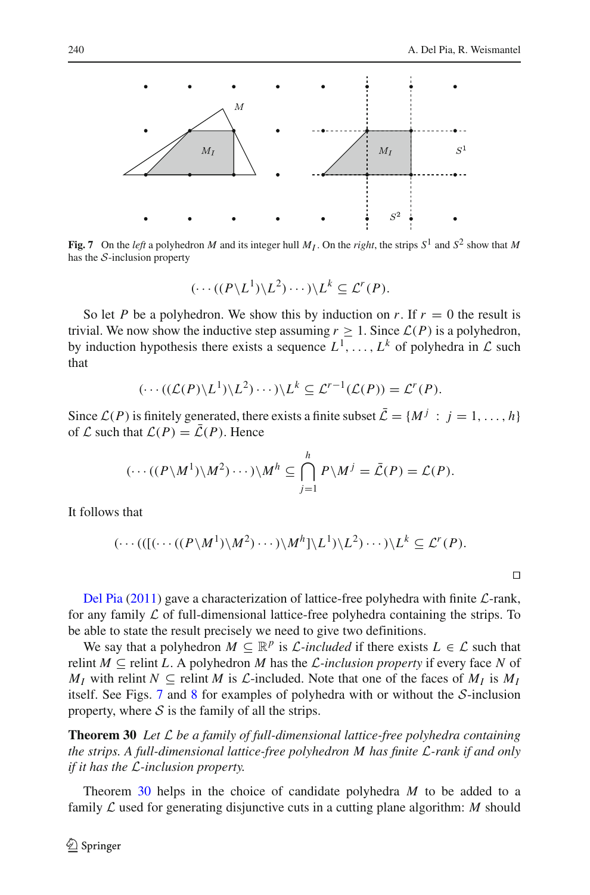

<span id="page-20-0"></span>**Fig. 7** On the *left* a polyhedron *M* and its integer hull  $M_I$ . On the *right*, the strips  $S^1$  and  $S^2$  show that M has the *S*-inclusion property

$$
(\cdots((P\backslash L^1)\backslash L^2)\cdots)\backslash L^k\subseteq \mathcal{L}^r(P).
$$

So let *P* be a polyhedron. We show this by induction on *r*. If  $r = 0$  the result is trivial. We now show the inductive step assuming  $r \geq 1$ . Since  $\mathcal{L}(P)$  is a polyhedron, by induction hypothesis there exists a sequence  $L^1, \ldots, L^k$  of polyhedra in  $\mathcal L$  such that

$$
(\cdots((\mathcal{L}(P)\backslash L^1)\backslash L^2)\cdots)\backslash L^k\subseteq \mathcal{L}^{r-1}(\mathcal{L}(P))=\mathcal{L}^r(P).
$$

Since  $\mathcal{L}(P)$  is finitely generated, there exists a finite subset  $\bar{\mathcal{L}} = \{M^j : j = 1, ..., h\}$ of  $\mathcal L$  such that  $\mathcal L(P) = \overline{\mathcal L}(P)$ . Hence

$$
(\cdots((P\backslash M^1)\backslash M^2)\cdots)\backslash M^h\subseteq \bigcap_{j=1}^h P\backslash M^j=\bar{\mathcal{L}}(P)=\mathcal{L}(P).
$$

It follows that

$$
(\cdots(((\cdots((P\backslash M^1)\backslash M^2)\cdots)\backslash M^h]\backslash L^1)\backslash L^2)\cdots)\backslash L^k\subseteq \mathcal{L}^r(P).
$$

 $\Box$ 

Del Pia [\(2011](#page-24-22)) gave a characterization of lattice-free polyhedra with finite *L*-rank, for any family  $\mathcal L$  of full-dimensional lattice-free polyhedra containing the strips. To be able to state the result precisely we need to give two definitions.

We say that a polyhedron  $M \subseteq \mathbb{R}^p$  is *L*-included if there exists  $L \in \mathcal{L}$  such that relint  $M \subseteq$  relint *L*. A polyhedron *M* has the *L*-inclusion property if every face *N* of *MI* with relint  $N \subseteq$  relint *M* is *L*-included. Note that one of the faces of  $M_I$  is  $M_I$ itself. See Figs. [7](#page-20-0) and [8](#page-21-0) for examples of polyhedra with or without the *S*-inclusion property, where  $S$  is the family of all the strips.

<span id="page-20-1"></span>**Theorem 30** *Let L be a family of full-dimensional lattice-free polyhedra containing the strips. A full-dimensional lattice-free polyhedron M has finite L-rank if and only if it has the L-inclusion property.*

Theorem [30](#page-20-1) helps in the choice of candidate polyhedra *M* to be added to a family *L* used for generating disjunctive cuts in a cutting plane algorithm: *M* should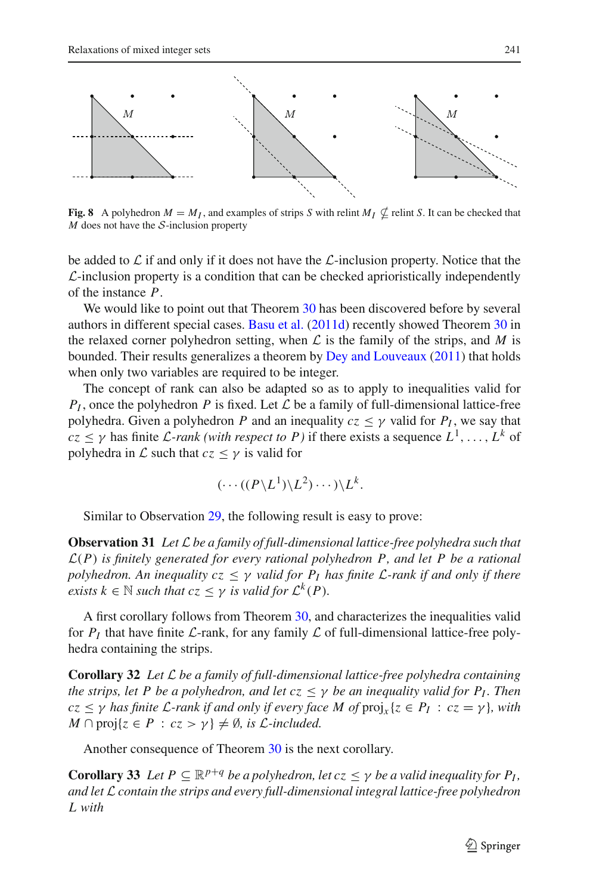

<span id="page-21-0"></span>**Fig. 8** A polyhedron  $M = M_I$ , and examples of strips *S* with relint  $M_I \nsubseteq$  relint *S*. It can be checked that *M* does not have the *S*-inclusion property

be added to *L* if and only if it does not have the *L*-inclusion property. Notice that the *L*-inclusion property is a condition that can be checked aprioristically independently of the instance *P*.

We would like to point out that Theorem [30](#page-20-1) has been discovered before by several authors in different special cases. [Basu et al.](#page-23-19) [\(2011d](#page-23-19)) recently showed Theorem [30](#page-20-1) in the relaxed corner polyhedron setting, when  $\mathcal L$  is the family of the strips, and  $M$  is bounded. Their results generalizes a theorem by [Dey and Louveaux](#page-24-23) [\(2011\)](#page-24-23) that holds when only two variables are required to be integer.

The concept of rank can also be adapted so as to apply to inequalities valid for  $P_I$ , once the polyhedron *P* is fixed. Let *L* be a family of full-dimensional lattice-free polyhedra. Given a polyhedron *P* and an inequality  $cz \leq \gamma$  valid for  $P_I$ , we say that  $c\bar{z} \leq \gamma$  has finite *L*-rank (with respect to P) if there exists a sequence  $L^1, \ldots, L^k$  of polyhedra in  $\mathcal L$  such that  $cz < \gamma$  is valid for

$$
(\cdots ((P \backslash L^1) \backslash L^2) \cdots ) \backslash L^k.
$$

Similar to Observation [29,](#page-19-1) the following result is easy to prove:

**Observation 31** *Let L be a family of full-dimensional lattice-free polyhedra such that L*(*P*) *is finitely generated for every rational polyhedron P, and let P be a rational polyhedron. An inequality*  $cz \leq \gamma$  *valid for*  $P_I$  *has finite*  $\mathcal{L}$ *-rank if and only if there exists*  $k \in \mathbb{N}$  *such that*  $cz \leq \gamma$  *is valid for*  $\mathcal{L}^k(P)$ *.* 

A first corollary follows from Theorem [30,](#page-20-1) and characterizes the inequalities valid for  $P_I$  that have finite  $\mathcal{L}$ -rank, for any family  $\mathcal{L}$  of full-dimensional lattice-free polyhedra containing the strips.

**Corollary 32** *Let L be a family of full-dimensional lattice-free polyhedra containing the strips, let P be a polyhedron, and let*  $cz \leq \gamma$  *be an inequality valid for P<sub>I</sub>. Then*  $cz \leq \gamma$  *has finite L*-rank if and only if every face M of  $proj_x\{z \in P_I : cz = \gamma\}$ , with  $M \cap \text{proj}\{z \in P : cz > \gamma\} \neq \emptyset$ , *is L*-included.

Another consequence of Theorem [30](#page-20-1) is the next corollary.

<span id="page-21-1"></span>**Corollary 33** Let  $P \subseteq \mathbb{R}^{p+q}$  *be a polyhedron, let*  $cz \leq \gamma$  *be a valid inequality for*  $P_I$ *, and let L contain the strips and every full-dimensional integral lattice-free polyhedron L with*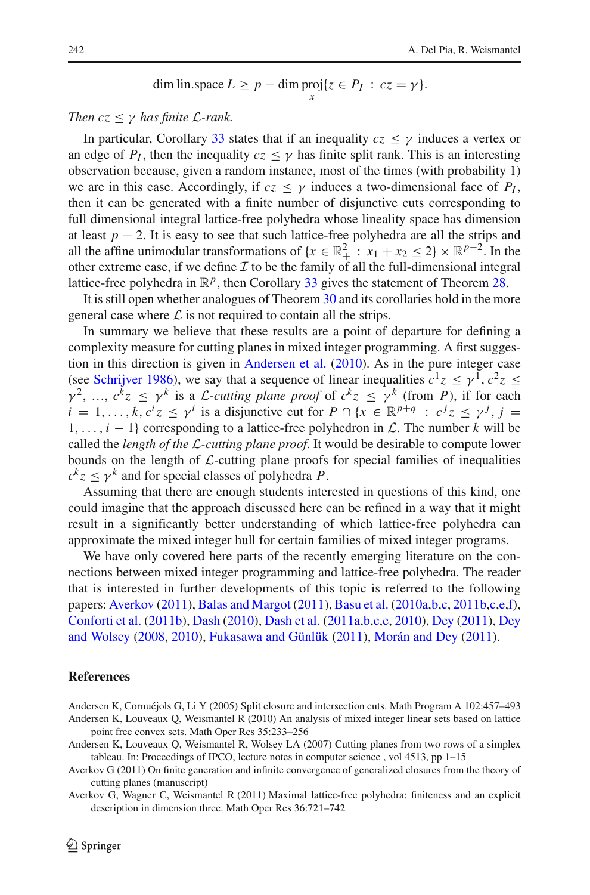dim lin-space 
$$
L \ge p - \dim \text{proj}\{z \in P_I : cz = \gamma\}.
$$

## *Then*  $cz < \gamma$  *has finite L*-rank.

In particular, Corollary [33](#page-21-1) states that if an inequality  $c\bar{z} < \gamma$  induces a vertex or an edge of  $P_I$ , then the inequality  $c_z \leq \gamma$  has finite split rank. This is an interesting observation because, given a random instance, most of the times (with probability 1) we are in this case. Accordingly, if  $c\bar{z} \leq \gamma$  induces a two-dimensional face of  $P_I$ , then it can be generated with a finite number of disjunctive cuts corresponding to full dimensional integral lattice-free polyhedra whose lineality space has dimension at least  $p - 2$ . It is easy to see that such lattice-free polyhedra are all the strips and all the affine unimodular transformations of  $\{x \in \mathbb{R}_+^2 : x_1 + x_2 \leq 2\} \times \mathbb{R}^{p-2}$ . In the other extreme case, if we define  $I$  to be the family of all the full-dimensional integral lattice-free polyhedra in  $\mathbb{R}^p$ , then Corollary [33](#page-21-1) gives the statement of Theorem [28.](#page-18-2)

It is still open whether analogues of Theorem [30](#page-20-1) and its corollaries hold in the more general case where  $\mathcal L$  is not required to contain all the strips.

In summary we believe that these results are a point of departure for defining a complexity measure for cutting planes in mixed integer programming. A first suggestion in this direction is given in [Andersen et al.](#page-22-0) [\(2010\)](#page-22-0). As in the pure integer case (see [Schrijver 1986](#page-24-1)), we say that a sequence of linear inequalities  $c^1z \leq \gamma^1$ ,  $c^2z \leq$  $\gamma^2$ , ...,  $c^k z \leq \gamma^k$  is a *L*-cutting plane proof of  $c^k z \leq \gamma^k$  (from *P*), if for each  $i = 1, \ldots, k, c^i z \leq \gamma^i$  is a disjunctive cut for  $P \cap \{x \in \mathbb{R}^{p+q} : c^j z \leq \gamma^j, j = j\}$ 1,...,*i* − 1} corresponding to a lattice-free polyhedron in *L*. The number *k* will be called the *length of the L-cutting plane proof*. It would be desirable to compute lower bounds on the length of *L*-cutting plane proofs for special families of inequalities  $c^k z \leq \gamma^k$  and for special classes of polyhedra *P*.

Assuming that there are enough students interested in questions of this kind, one could imagine that the approach discussed here can be refined in a way that it might result in a significantly better understanding of which lattice-free polyhedra can approximate the mixed integer hull for certain families of mixed integer programs.

We have only covered here parts of the recently emerging literature on the connections between mixed integer programming and lattice-free polyhedra. The reader that is interested in further developments of this topic is referred to the following papers: [Averkov](#page-22-4) [\(2011\)](#page-22-4), [Balas and Margot](#page-23-20) [\(2011\)](#page-23-20), [Basu et al.](#page-23-21) [\(2010a](#page-23-21)[,b](#page-23-22)[,c](#page-23-23), [2011b](#page-23-24)[,c](#page-23-25)[,e](#page-23-26)[,f](#page-23-27)), [Conforti et al.](#page-23-28) [\(2011b\)](#page-23-28), [Dash](#page-23-29) [\(2010](#page-23-29)), [Dash et al.](#page-23-30) [\(2011a](#page-23-30)[,b](#page-23-31)[,c](#page-24-24)[,e,](#page-24-25) [2010](#page-23-32)), [Dey](#page-24-26) [\(2011\)](#page-24-26), Dey and Wolsey [\(2008,](#page-24-27) [2010\)](#page-24-28), [Fukasawa and Günlük](#page-24-29) [\(2011\)](#page-24-29), [Morán and Dey](#page-24-30) [\(2011](#page-24-30)).

#### **References**

- <span id="page-22-2"></span><span id="page-22-0"></span>Andersen K, Cornuéjols G, Li Y (2005) Split closure and intersection cuts. Math Program A 102:457–493 Andersen K, Louveaux Q, Weismantel R (2010) An analysis of mixed integer linear sets based on lattice point free convex sets. Math Oper Res 35:233–256
- <span id="page-22-1"></span>Andersen K, Louveaux Q, Weismantel R, Wolsey LA (2007) Cutting planes from two rows of a simplex tableau. In: Proceedings of IPCO, lecture notes in computer science , vol 4513, pp 1–15
- <span id="page-22-4"></span>Averkov G (2011) On finite generation and infinite convergence of generalized closures from the theory of cutting planes (manuscript)

<span id="page-22-3"></span>Averkov G, Wagner C, Weismantel R (2011) Maximal lattice-free polyhedra: finiteness and an explicit description in dimension three. Math Oper Res 36:721–742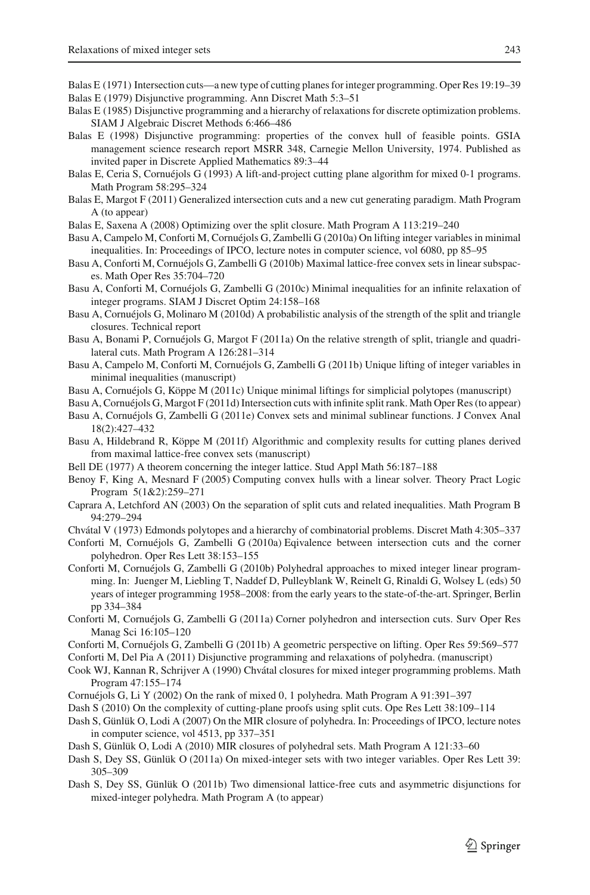<span id="page-23-4"></span>Balas E (1971) Intersection cuts—a new type of cutting planes for integer programming. Oper Res 19:19–39

- <span id="page-23-1"></span>Balas E (1979) Disjunctive programming. Ann Discret Math 5:3–51
- <span id="page-23-8"></span>Balas E (1985) Disjunctive programming and a hierarchy of relaxations for discrete optimization problems. SIAM J Algebraic Discret Methods 6:466–486
- <span id="page-23-0"></span>Balas E (1998) Disjunctive programming: properties of the convex hull of feasible points. GSIA management science research report MSRR 348, Carnegie Mellon University, 1974. Published as invited paper in Discrete Applied Mathematics 89:3–44
- <span id="page-23-3"></span>Balas E, Ceria S, Cornuéjols G (1993) A lift-and-project cutting plane algorithm for mixed 0-1 programs. Math Program 58:295–324
- <span id="page-23-20"></span>Balas E, Margot F (2011) Generalized intersection cuts and a new cut generating paradigm. Math Program A (to appear)
- <span id="page-23-14"></span>Balas E, Saxena A (2008) Optimizing over the split closure. Math Program A 113:219–240
- <span id="page-23-21"></span>Basu A, Campelo M, Conforti M, Cornuéjols G, Zambelli G (2010a) On lifting integer variables in minimal inequalities. In: Proceedings of IPCO, lecture notes in computer science, vol 6080, pp 85–95
- <span id="page-23-22"></span>Basu A, Conforti M, Cornuéjols G, Zambelli G (2010b) Maximal lattice-free convex sets in linear subspaces. Math Oper Res 35:704–720
- <span id="page-23-23"></span>Basu A, Conforti M, Cornuéjols G, Zambelli G (2010c) Minimal inequalities for an infinite relaxation of integer programs. SIAM J Discret Optim 24:158–168
- <span id="page-23-16"></span>Basu A, Cornuéjols G, Molinaro M (2010d) A probabilistic analysis of the strength of the split and triangle closures. Technical report
- <span id="page-23-15"></span>Basu A, Bonami P, Cornuéjols G, Margot F (2011a) On the relative strength of split, triangle and quadrilateral cuts. Math Program A 126:281–314
- <span id="page-23-24"></span>Basu A, Campelo M, Conforti M, Cornuéjols G, Zambelli G (2011b) Unique lifting of integer variables in minimal inequalities (manuscript)
- <span id="page-23-25"></span>Basu A, Cornuéjols G, Köppe M (2011c) Unique minimal liftings for simplicial polytopes (manuscript)
- <span id="page-23-19"></span>Basu A, Cornuéjols G, Margot F (2011d) Intersection cuts with infinite split rank. Math Oper Res (to appear)
- <span id="page-23-26"></span>Basu A, Cornuéjols G, Zambelli G (2011e) Convex sets and minimal sublinear functions. J Convex Anal 18(2):427–432
- <span id="page-23-27"></span>Basu A, Hildebrand R, Köppe M (2011f) Algorithmic and complexity results for cutting planes derived from maximal lattice-free convex sets (manuscript)
- <span id="page-23-11"></span>Bell DE (1977) A theorem concerning the integer lattice. Stud Appl Math 56:187–188
- <span id="page-23-7"></span>Benoy F, King A, Mesnard F (2005) Computing convex hulls with a linear solver. Theory Pract Logic Program 5(1&2):259–271
- <span id="page-23-12"></span>Caprara A, Letchford AN (2003) On the separation of split cuts and related inequalities. Math Program B 94:279–294
- Chvátal V (1973) Edmonds polytopes and a hierarchy of combinatorial problems. Discret Math 4:305–337
- <span id="page-23-17"></span><span id="page-23-10"></span>Conforti M, Cornuéjols G, Zambelli G (2010a) Eqivalence between intersection cuts and the corner polyhedron. Oper Res Lett 38:153–155
- <span id="page-23-6"></span>Conforti M, Cornuéjols G, Zambelli G (2010b) Polyhedral approaches to mixed integer linear programming. In: Juenger M, Liebling T, Naddef D, Pulleyblank W, Reinelt G, Rinaldi G, Wolsey L (eds) 50 years of integer programming 1958–2008: from the early years to the state-of-the-art. Springer, Berlin pp 334–384
- <span id="page-23-5"></span>Conforti M, Cornuéjols G, Zambelli G (2011a) Corner polyhedron and intersection cuts. Surv Oper Res Manag Sci 16:105–120
- <span id="page-23-28"></span>Conforti M, Cornuéjols G, Zambelli G (2011b) A geometric perspective on lifting. Oper Res 59:569–577
- <span id="page-23-9"></span>Conforti M, Del Pia A (2011) Disjunctive programming and relaxations of polyhedra. (manuscript)
- <span id="page-23-2"></span>Cook WJ, Kannan R, Schrijver A (1990) Chvátal closures for mixed integer programming problems. Math Program 47:155–174
- <span id="page-23-18"></span>Cornuéjols G, Li Y (2002) On the rank of mixed 0, 1 polyhedra. Math Program A 91:391–397
- <span id="page-23-29"></span>Dash S (2010) On the complexity of cutting-plane proofs using split cuts. Ope Res Lett 38:109–114
- <span id="page-23-13"></span>Dash S, Günlük O, Lodi A (2007) On the MIR closure of polyhedra. In: Proceedings of IPCO, lecture notes in computer science, vol 4513, pp 337–351
- <span id="page-23-32"></span>Dash S, Günlük O, Lodi A (2010) MIR closures of polyhedral sets. Math Program A 121:33–60
- <span id="page-23-30"></span>Dash S, Dey SS, Günlük O (2011a) On mixed-integer sets with two integer variables. Oper Res Lett 39: 305–309
- <span id="page-23-31"></span>Dash S, Dey SS, Günlük O (2011b) Two dimensional lattice-free cuts and asymmetric disjunctions for mixed-integer polyhedra. Math Program A (to appear)